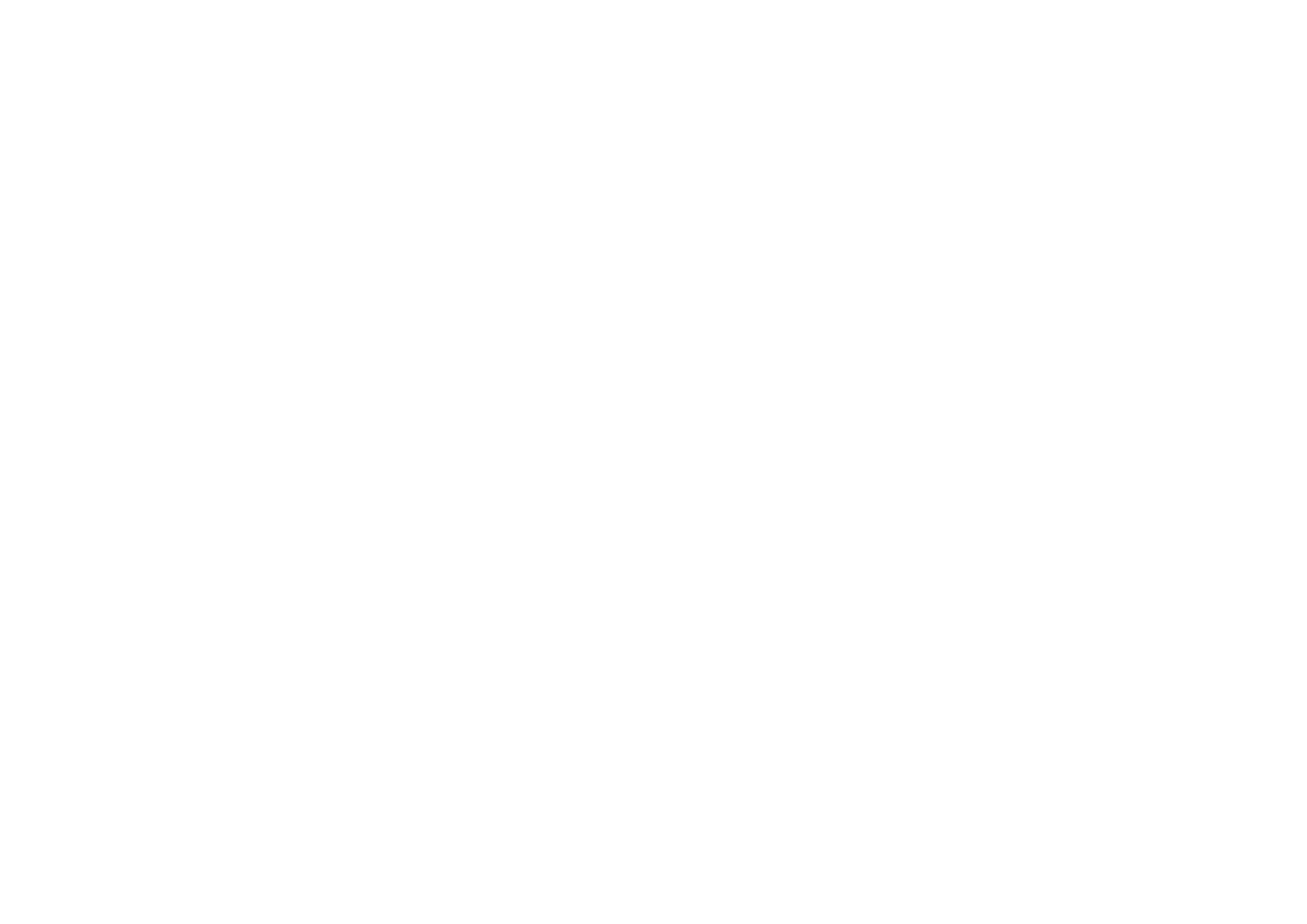# **YouGov / Sunday Times Survey Results**

#### **Sample Size: 2029 GB Adults**

|                                                                               |                                                       |                |                             |              | <b>Voting intention</b>         |                                      |                                        | 2010 Vote      |                |                  | Gender                   |                                       |                     | Age            |                         |                | <b>Social Grade</b> |                |                                       | Region                   |                |                |
|-------------------------------------------------------------------------------|-------------------------------------------------------|----------------|-----------------------------|--------------|---------------------------------|--------------------------------------|----------------------------------------|----------------|----------------|------------------|--------------------------|---------------------------------------|---------------------|----------------|-------------------------|----------------|---------------------|----------------|---------------------------------------|--------------------------|----------------|----------------|
|                                                                               |                                                       | Total          | Con   Lab                   |              | Lib<br>Dem                      | UKIP Con                             |                                        | Lab            | Lib<br>Dem     | Male             | Female 18-24 25-39 40-59 |                                       |                     |                | 60+                     | ABC1           | C2DE                | London         | <b>Rest of</b><br>South               | <b>Midlands</b><br>Wales |                | North Scotland |
|                                                                               | <b>Weighted Sample</b>                                | 2029           |                             |              |                                 | 510 621 151 215 613 523              |                                        |                | 407            | 984              | 1045                     | 241                                   | 513                 | 694            | 580                     | 1157           | 872                 | 260            | 659                                   | 434                      | 499            | 177            |
|                                                                               | Unweighted Sample 2029                                |                |                             | 61           |                                 | 259                                  | 614                                    |                | 422            | 034              | 995                      | 163                                   | 399                 | 709            | 758                     | 140            | 628                 | 268            | 678                                   | 416                      | 500            | 167            |
|                                                                               |                                                       | $\frac{9}{6}$  | %                           | %            | %                               | $\frac{1}{2}$                        | %                                      | %              | %              | $\%$             | %                        | %                                     | %                   | $\%$           | $\frac{1}{6}$           | $\%$           | %                   | $\frac{0}{6}$  | $\%$                                  | %                        | %              | %              |
| <b>Headline Voting Intention</b><br>[Excluding Don't know and Wouldn't votes] |                                                       |                |                             |              |                                 |                                      |                                        |                |                |                  |                          |                                       |                     |                |                         |                |                     |                |                                       |                          |                |                |
|                                                                               | Con                                                   | 32             | 100                         | 0            | 0                               | 0                                    | 72                                     | 5              | 17             | 31               | 34                       | 22                                    | 26                  | 28             | 44                      | 38             | 25                  | 33             | 39                                    | 31                       | 30             | 18             |
|                                                                               | Lab                                                   | 39             | 0                           | 100          | $\mathbf{0}$                    | $\mathbf 0$                          | $\overline{7}$                         | 84             | 31             | 39               | 40                       | 45                                    | 50                  | 43             | 26                      | 35             | 45                  | 40             | 28                                    | 48                       | 44             | 52             |
|                                                                               | Lib Dem                                               | 10             | $\mathbf 0$                 | $\mathbf 0$  | 100                             | $\mathbf 0$                          | $\overline{1}$                         | $\mathbf{3}$   | $37\,$         | $\boldsymbol{9}$ | 10                       | 14                                    | 12                  | 10             | $\overline{7}$          | 12             | $\overline{7}$      | 15             | 12                                    | 3                        | 11             | $\overline{2}$ |
|                                                                               | Other                                                 | 19             | $\mathbf 0$                 | $\mathbf 0$  | $\Omega$                        | 100                                  | 20                                     | 8              | 15             | 21               | 16                       | 19                                    | $12$                | 19             | 23                      | 15             | 23                  | 13             | 21                                    | 18                       | 15             | 28             |
| <b>Other Parties Voting Intention</b>                                         |                                                       |                |                             |              |                                 |                                      |                                        |                |                |                  |                          |                                       |                     |                |                         |                |                     |                |                                       |                          |                |                |
|                                                                               | <b>UKIP</b>                                           | 14             | $\mathbf 0$                 | 0            |                                 | 100                                  | 19                                     | 5              | 8              | 15               | 12                       | 13                                    | 6                   | 14             | 19                      | 10             | 18                  | 10             | 19                                    | 14                       | 12             | $\overline{2}$ |
|                                                                               | SNP / PCY                                             | 3              | 0                           | 0            | $\mathbf 0$                     | 0                                    | 0                                      | $\overline{2}$ | 3              | $\overline{4}$   |                          | 4                                     | 3                   | $\overline{c}$ | $\overline{\mathbf{c}}$ | 2              | 3                   | 0              | $\mathbf 0$                           | 2                        | $\mathbf 0$    | 23             |
|                                                                               | Green                                                 | 2              | $\mathbf 0$                 | 0            | $\mathbf 0$                     | $\mathbf 0$                          | $\mathbf 0$                            |                | 3              | $\overline{c}$   | $\sqrt{2}$               | $\begin{array}{c} 3 \\ 0 \end{array}$ | $\mathsf 3$         | $\sqrt{2}$     | $\mathbf{1}$            | $\overline{c}$ | $\mathbf{1}$        | 2              | $\begin{array}{c} 2 \\ 0 \end{array}$ |                          | $\overline{1}$ | 3              |
|                                                                               | <b>BNP</b>                                            | $\mathbf 0$    | $\mathbf 0$                 | $\mathbf 0$  | $\mathbf 0$                     | $\mathbf 0$                          | $\mathbf 0$                            | $\mathbf 0$    | $\mathbf 0$    | $\mathbf 0$      | $\mathsf 0$              |                                       | $\mathsf{O}\xspace$ | $\pmb{0}$      | $\mathbf 0$             | $\mathbf 0$    | $\mathbf 0$         | $\mathsf 0$    |                                       | $\mathbf 0$              | $\mathbf 0$    | $\mathbf 0$    |
|                                                                               | Respect                                               | $\mathbf 0$    | $\mathbf 0$                 | $\mathbf 0$  | $\mathbf 0$                     | $\mathbf 0$                          | $\mathbf 0$                            | $\mathbf 0$    | $\mathbf{1}$   | $\mathbf 0$      | $\mathsf 0$              | $\mathbf 0$                           | $\mathsf 0$         | $\mathsf 0$    | $\mathbf 0$             | $\mathbf 0$    | $\mathbf 0$         | $\mathsf 0$    | $\mathbf 0$                           | $\mathbf 0$              | $\mathbf 0$    | $\mathbf 0$    |
|                                                                               | Other                                                 | 0              | $\mathbf{0}$                | $\Omega$     | $\Omega$                        | $\mathbf 0$                          | $\mathbf 0$                            | $\Omega$       | $\mathbf 0$    | $\mathbf 0$      | $\mathbf 0$              | $\mathbf 0$                           | $\mathbf 0$         | $\mathbf 0$    | $\mathbf 0$             | $\mathbf 0$    | $\Omega$            | $\mathbf 0$    | $\Omega$                              | $\Omega$                 | $\mathbf 0$    | $\overline{1}$ |
| <b>Non Voters</b>                                                             |                                                       |                |                             |              |                                 |                                      |                                        |                |                |                  |                          |                                       |                     |                |                         |                |                     |                |                                       |                          |                |                |
|                                                                               | <b>Would Not Vote</b>                                 | 6              | 0                           | 0            | $\begin{matrix}0\0\end{matrix}$ | $\begin{matrix} 0 \\ 0 \end{matrix}$ | $\begin{array}{c} 2 \\ 11 \end{array}$ | $\frac{3}{10}$ | $\frac{2}{24}$ | $\frac{5}{12}$   | $\frac{8}{20}$           | $\frac{14}{22}$                       | 11<br>19            | $\frac{4}{16}$ | $\frac{2}{10}$          | 6              | 7                   | 5              | 5                                     | 9                        | 8              | 5              |
|                                                                               | Don't know                                            | 16             | ${\cal O}$                  | $\mathcal O$ |                                 |                                      |                                        |                |                |                  |                          |                                       |                     |                |                         | 13             | 19                  | 14             | 14                                    | 21                       | 16             | 10             |
| Do you approve or disapprove of the Government's                              | Mar<br>$5 - 6$                                        | Mar<br>$6 - 7$ |                             |              |                                 |                                      |                                        |                |                |                  |                          |                                       |                     |                |                         |                |                     |                |                                       |                          |                |                |
| record to date?                                                               | 27<br>Approve<br>Disapprove<br>59<br>Don't know<br>14 | 32<br>52<br>15 | 83<br>$\boldsymbol{9}$<br>8 | 86<br>6      | 44<br>34<br>22                  | 18<br>73<br>9                        | 62<br>27<br>12                         | 10<br>79<br>11 | 29<br>55<br>16 | 37<br>52<br>11   | 28<br>53<br>19           | 27<br>44<br>29                        | 30<br>50<br>20      | 27<br>62<br>11 | 43<br>46<br>11          | 39<br>49<br>13 | 24<br>58<br>19      | 34<br>50<br>16 | 40<br>47<br>14                        | 29<br>54<br>17           | 28<br>56<br>17 | 24<br>63<br>14 |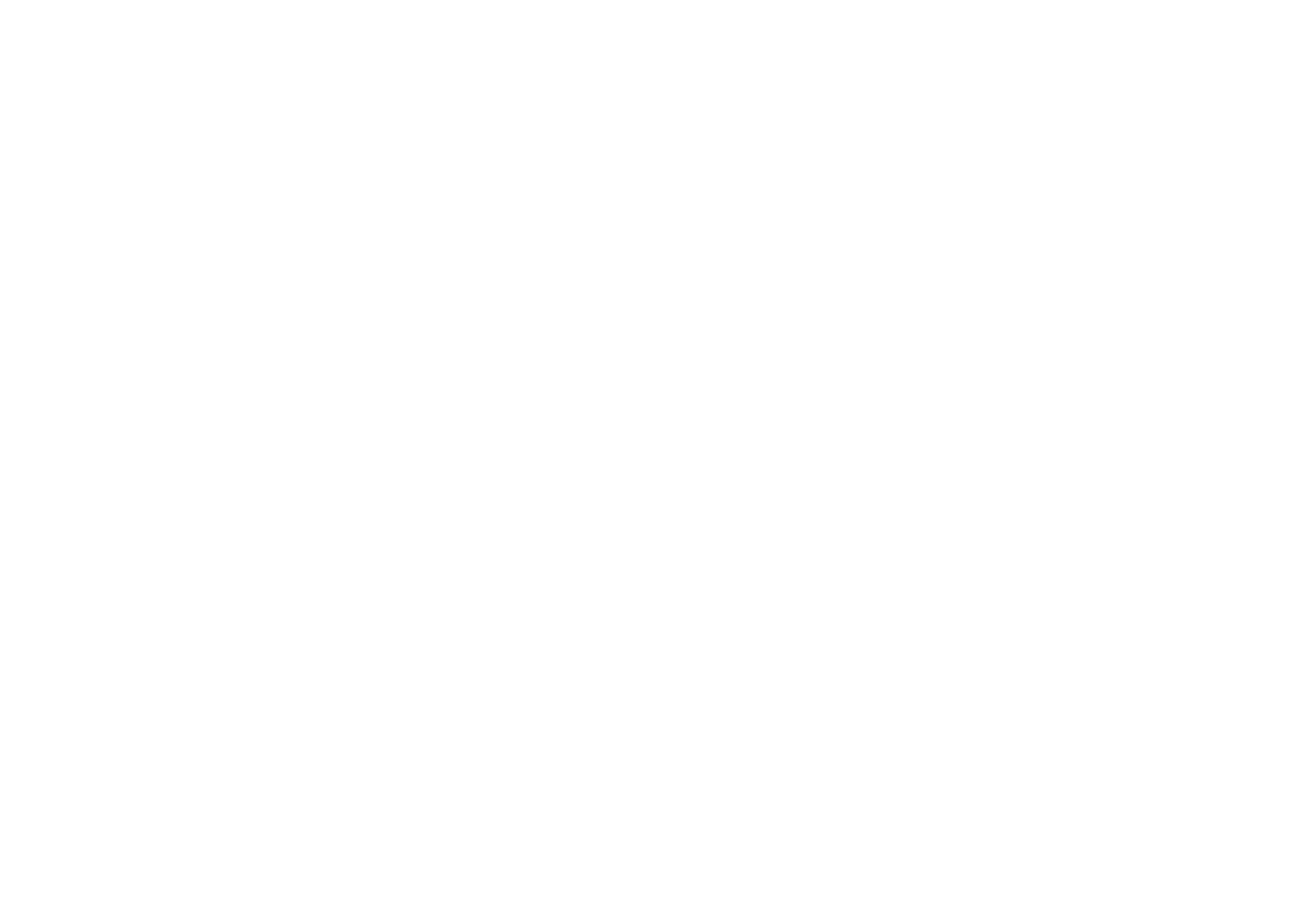|                                                                                            |                 |                |                |                 | <b>Voting intention</b> |                |                | <b>2010 Vote</b> |                 |                 | Gender                            |     |     | Age            |                |                  | <b>Social Grade</b> |                |                  | Region                   |                |                |
|--------------------------------------------------------------------------------------------|-----------------|----------------|----------------|-----------------|-------------------------|----------------|----------------|------------------|-----------------|-----------------|-----------------------------------|-----|-----|----------------|----------------|------------------|---------------------|----------------|------------------|--------------------------|----------------|----------------|
|                                                                                            |                 | Total          | Con Lab        |                 | Lib<br>Dem              | UKIP Con       |                | Lab              | Lib<br>Dem      |                 | Male Female 18-24   25-39   40-59 |     |     |                | $60+$          | ABC1             | C <sub>2</sub> DE   | London         | Rest of<br>South | <b>Midlands</b><br>Wales | North          | Scotland       |
| <b>Weighted Sample</b>                                                                     |                 | 2029           | 510 621        |                 | 151                     | 215            | 613 523        |                  | 407             | 984             | 1045                              | 241 | 513 | 694            | 580            | 1157             | 872                 | 260            | 659              | 434                      | 499            | 177            |
| <b>Unweighted Sample</b>                                                                   |                 | 2029           | 502            | 61              | 129                     | 259            | 614            | 529              |                 |                 | 995                               | 163 | 399 | 709            | 758            | 140 <sup>°</sup> | 628                 | 268            | 678              | 416                      | 500            | 167            |
|                                                                                            |                 | $\%$           | %              | $\frac{9}{6}$   | %                       | %              | %              | %                | %               | %               | %                                 | %   | %   | %              | %              | %                | %                   | %              | %                | %                        | %              | $\frac{9}{6}$  |
|                                                                                            | Feb             | Mar            |                |                 |                         |                |                |                  |                 |                 |                                   |     |     |                |                |                  |                     |                |                  |                          |                |                |
|                                                                                            | 27-28           | $6 - 7$        |                |                 |                         |                |                |                  |                 |                 |                                   |     |     |                |                |                  |                     |                |                  |                          |                |                |
| Do you think that David Cameron is doing well or badly<br>as Prime Minister?               |                 |                |                |                 |                         |                |                |                  |                 |                 |                                   |     |     |                |                |                  |                     |                |                  |                          |                |                |
| Very well                                                                                  | $5\phantom{.0}$ | $\overline{7}$ | 22             | -1              | $\mathbf{1}$            | 2              | 16             | -1               | 2               | 9               | 5                                 |     | 7   | $\overline{7}$ | 9              | 8                | 6                   | 9              | 7                | 7                        | 6              |                |
| Fairly well                                                                                | 36              | 35             | 71             | 11              | 52                      | 26             | 58             | 15               | 33              | 34              | 35                                | 42  | 32  | 27             | 43             | 40               | 27                  | 34             | 43               | 31                       | 31             | 24             |
| <b>TOTAL WELL</b>                                                                          | $-41$           | 42             | 93             | 12              | 53                      | 28             | 74             | 16               | 35              | 43              | 40                                | 43  | 39  | 34             | 52             | 48               | 33                  | 43             | 50               | 38                       | 37             | 28             |
| Fairly badly                                                                               | 28              | 29             | 5              | 40              | 28                      | 44             | 15             | 40               | 35              | 27              | 31                                | 22  | 29  | 34             | 27             | 28               | 31                  | 29             | 28               | 30                       | 28             | 35             |
| Very badly                                                                                 | 25              | 23             | $\overline{1}$ | 46              | $\sqrt{5}$              | 27             | 8              | 40               | 20              | 24              | 22                                | 19  | 24  | 27             | 18             | 19               | 27                  | 21             | 16               | 26                       | 26             | 29             |
| <b>TOTAL BADLY</b>                                                                         | 53              | 52             | $6^{\circ}$    | 86              | 33                      | 71             | 23             | 80               | 55              | 51              | 53                                | 41  | 53  | 61             | 45             | 47               | 58                  | 50             | 44               | 56                       | 54             | 64             |
| Don't know                                                                                 | 6               | $7^{\circ}$    | $\overline{1}$ | 2               | 14                      | $\mathbf{1}$   | 3              | 3                | 10 <sup>1</sup> | 6               | $\overline{7}$                    | 16  | 8   | 5              | 3              | 5                | 9                   | $\overline{7}$ | 5                | 6                        | 8              | $\overline{7}$ |
| Do you think Ed Miliband is doing well or badly as<br>leader of the Labour party?          |                 |                |                |                 |                         |                |                |                  |                 |                 |                                   |     |     |                |                |                  |                     |                |                  |                          |                |                |
| Very well                                                                                  | 3               | 3              | $\overline{1}$ | 8               | 2                       | 0              | $\overline{1}$ | 8                |                 | 4               | $\overline{2}$                    | 3   | 3   | 4              | $\overline{2}$ | $\overline{4}$   | 2                   | 3              | 1                | 3                        | 5              | 4              |
| Fairly well                                                                                | 24              | 28             | 12             | 59              | $30\,$                  | 6              | 13             | 49               | 25              | 28              | 27                                | 26  | 30  | 28             | 26             | 26               | 30                  | 30             | 22               | 30                       | 30             | 33             |
| <b>TOTAL WELL</b>                                                                          | 27              | 31             | 13             | 67              | 32                      | $6\phantom{1}$ | 14             | 57               | 26              | 32 <sub>2</sub> | 29                                | 29  | 33  | 32             | 28             | 30               | 32                  | 33             | 23               | 33                       | 35             | 37             |
| Fairly badly                                                                               | 36              | 37             | 48             | 27              | 40                      | 39             | 43             | 29               | 45              | 36              | 37                                | 31  | 38  | 37             | 38             | 41               | 32                  | 40             | 42               | 34                       | 32             | 32             |
| Very badly                                                                                 | 25              | 22             | 34             | 3               | 17                      | 46             | 37             | 9                | 18              | 24              | 20                                | 15  | 18  | 23             | 28             | 22               | 22                  | 15             | 27               | 21                       | 21             | 20             |
| <b>TOTA BADLY</b>                                                                          | 61              | 59             | 82             | 30 <sup>°</sup> | 57                      | 85             | 80             | 38               | 63              | 60              | 57                                | 46  | 56  | 60             | 66             | 63               | 54                  | 55             | 69               | 55                       | 53             | 52             |
| Don't know                                                                                 | 12              | 11             | 5              | 3               | 11                      | 9              | $\overline{7}$ | 5                | 11              | 8               | 13                                | 25  | 12  | 8              | 6              | 8                | 14                  | 11             | 8                | 12                       | 12             | 11             |
| Do you think that Nick Clegg is doing well or badly as<br>leader of the Liberal Democrats? |                 |                |                |                 |                         |                |                |                  |                 |                 |                                   |     |     |                |                |                  |                     |                |                  |                          |                |                |
| Very well                                                                                  | $\overline{2}$  | $\mathbf{2}$   | 3              | -1              | 11                      | 0              | -3             | -1               | 4               | $\overline{2}$  | 2                                 |     | 4   | 1              | $\overline{2}$ | $\overline{2}$   |                     | 5              | $\mathbf{1}$     | 1                        | $\overline{2}$ |                |
| Fairly well                                                                                | 17              | 18             | 31             | 8               | 51                      | $\overline{7}$ | 25             | 10               | 20              | 18              | 18                                | 16  | 16  | 19             | 19             | 21               | 14                  | 19             | 23               | 14                       | 15             | 14             |
| <b>TOTAL WELL</b>                                                                          | 19              | 20             | 34             | 9               | 62                      | $\overline{7}$ | 28             | 11               | 24              | 20              | 20                                | 17  | 20  | 20             | 21             | 23               | 15                  | 24             | 24               | 15                       | 17             | 15             |
| Fairly badly                                                                               | 30              | 31             | 34             | 32              | 28                      | 25             | 27             | 32               | 38              | 28              | 33                                | 34  | 30  | 32             | 28             | 32               | 29                  | 32             | 31               | 32                       | 26             | 36             |
| Very badly                                                                                 | 40              | 40             | 27             | 56              | $\mathbf{3}$            | 64             | 38             | 53               | 29              | 45              | 35                                | 29  | 38  | 41             | 44             | 38               | 42                  | 36             | 37               | 41                       | 46             | 37             |
| <b>TOTAL BADLY</b>                                                                         | 70              | 71             | 61             | 88              | 31                      | 89             | 65             | 85               | 67              | 73              | 68                                | 63  | 68  | 73             | 72             | 70               | 71                  | 68             | 68               | 73                       | 72             | 73             |
| Don't know                                                                                 | 10              | 10             | 5              | 3               | 8                       | 3              | $\overline{7}$ | 5                | 9               | 8               | 12                                | 20  | 13  | $\overline{7}$ | 6              | 6                | 14                  | 9              | $\overline{7}$   | 12                       | 11             | 11             |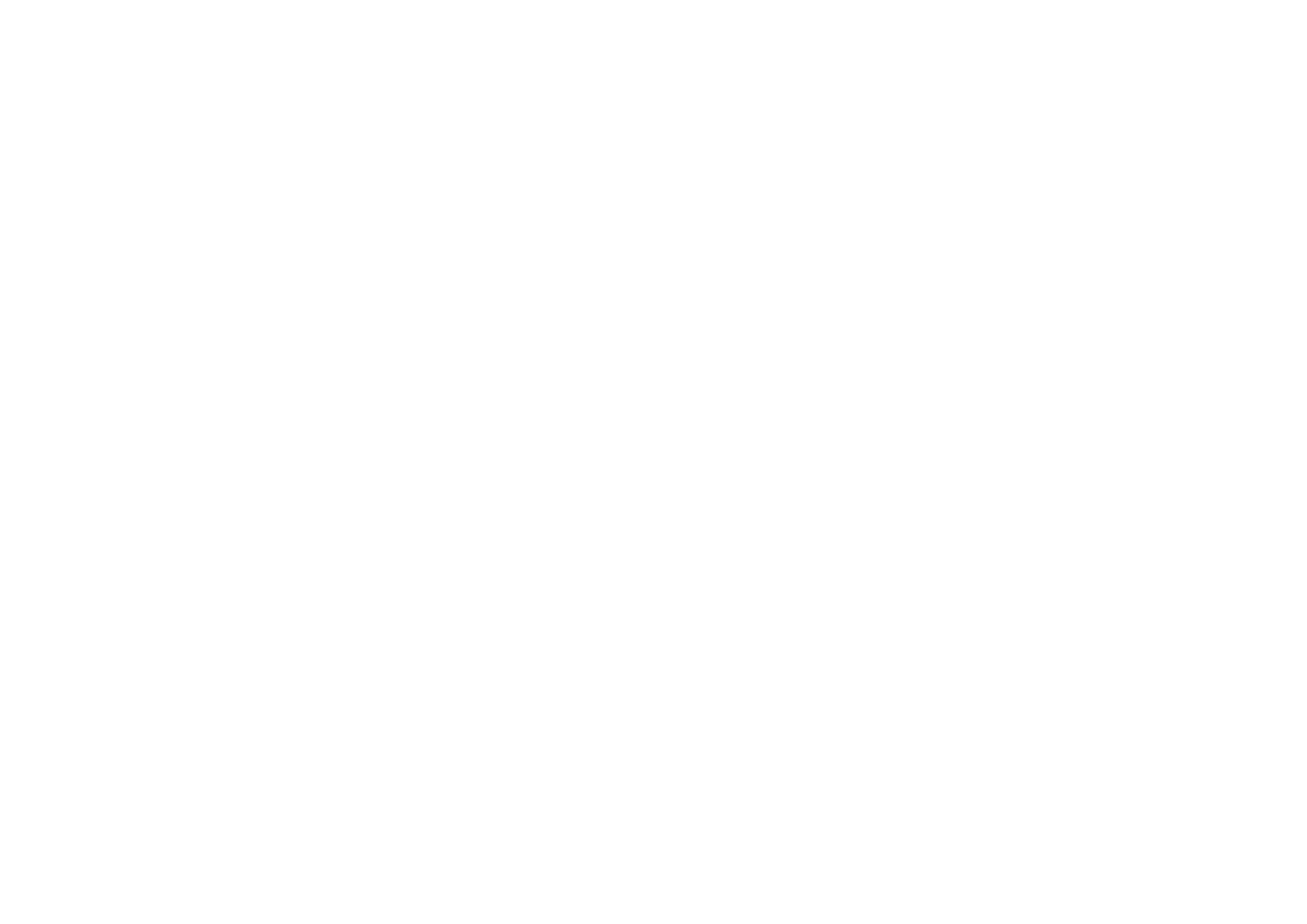|                                                                                                              |                |                   |                 |                |                         |                |                 | 2010 Vote       |                 |                         |                                       |                |                |                |                         |                 | <b>Social Grade</b> |                |                  |                          |                |                |
|--------------------------------------------------------------------------------------------------------------|----------------|-------------------|-----------------|----------------|-------------------------|----------------|-----------------|-----------------|-----------------|-------------------------|---------------------------------------|----------------|----------------|----------------|-------------------------|-----------------|---------------------|----------------|------------------|--------------------------|----------------|----------------|
|                                                                                                              |                |                   |                 |                | <b>Voting intention</b> |                |                 |                 |                 |                         | Gender                                |                |                | Age            |                         |                 |                     |                |                  | Region                   |                |                |
|                                                                                                              |                | Total             | Con Lab         |                | Lib<br>Dem              | UKIP Con       |                 | Lab             | Lib<br>Dem      |                         | Male   Female   18-24   25-39   40-59 |                |                |                | 60+                     | ABC1            | C <sub>2</sub> DE   | London         | Rest of<br>South | <b>Midlands</b><br>Wales |                | North Scotland |
| <b>Weighted Sample</b>                                                                                       |                | 2029              | 510 621         |                | 151                     | 215 613 523    |                 |                 | 407             | 984                     | 1045                                  | 241            | 513            | 694            | 580                     | 1157            | 872                 | 260            | 659              | 434                      | 499            | 177            |
| <b>Unweighted Sample</b>                                                                                     |                | 2029              |                 | 61             |                         |                | 614             | 529             | 422             |                         | 995                                   | 163            | 399            | 709            | 758                     | 140'            | 628                 | 268            | 678              | 416                      | 500            | 167            |
|                                                                                                              |                | $\%$              | %               | %              | %                       | %              | %               | %               | %               | $\%$                    | $\frac{0}{0}$                         | %              | %              | %              | %                       | $\%$            | %                   | $\frac{9}{6}$  | $\frac{0}{0}$    | %                        | %              | %              |
|                                                                                                              | Feb            | Mar               |                 |                |                         |                |                 |                 |                 |                         |                                       |                |                |                |                         |                 |                     |                |                  |                          |                |                |
|                                                                                                              | 27-28          | $6 - 7$           |                 |                |                         |                |                 |                 |                 |                         |                                       |                |                |                |                         |                 |                     |                |                  |                          |                |                |
| Do you think the Conservative and Liberal Democrat<br>coalition partners are working together well or badly? |                |                   |                 |                |                         |                |                 |                 |                 |                         |                                       |                |                |                |                         |                 |                     |                |                  |                          |                |                |
| Very well                                                                                                    | $\overline{2}$ | $\mathbf{1}$      | 4               | $\Omega$       | 4                       | 1              | $\overline{2}$  | 0               | $\overline{2}$  | $\overline{\mathbf{c}}$ |                                       | $\overline{2}$ | -1             | -1             | 2                       | $\overline{2}$  | -1                  | $\overline{2}$ | $\overline{2}$   | 1                        | $\overline{1}$ |                |
| Fairly well                                                                                                  | 28             | 31                | 64              | 12             | 61                      | 16             | 50              | 14              | 35              | 35                      | 27                                    | 35             | 27             | 30             | 34                      | 37              | 23                  | 35             | 38               | 28                       | 25             | 24             |
| <b>TOTAL WELL</b>                                                                                            | 30             | 32 <sub>2</sub>   | 68              | 12             | 65                      | 17             | 52              | 14              | 37              | 37                      | 28                                    | 37             | 28             | 31             | 36                      | 39              | 24                  | 37             | 40               | 29                       | 26             | 25             |
| Fairly badly                                                                                                 | 35             | 33                | 25              | 38             | 27                      | 42             | 28              | 38              | 33              | 32                      | 33                                    | 26             | 34             | 33             | 34                      | 34              | 31                  | 34             | 31               | 31                       | 34             | 35             |
| Very badly                                                                                                   | 26             | 26                | $5\phantom{.0}$ | 47             | $\overline{\mathbf{1}}$ | 38             | 15              | 42              | 20              | 25                      | 26                                    | 19             | 25             | 29             | 25                      | 22              | 31                  | 20             | 22               | 29                       | 30             | 28             |
| <b>TOTAL BADLY</b>                                                                                           | 61             | 59                | 30 <sub>o</sub> | 85             | 28                      | 80             | 43              | 80              | 53              | 57                      | 59                                    | 45             | 59             | 62             | 59                      | 56              | 62                  | 54             | 53               | 60                       | 64             | 63             |
| Don't know                                                                                                   | 8              | 9                 | $\overline{2}$  | 3              | $\overline{7}$          | 3 <sup>1</sup> | 5               | 5               | 10 <sup>1</sup> | $\overline{7}$          | 12                                    | 18             | 14             | 6              | 5                       | 6               | 14                  | 9              | 8                | 12                       | 9              | 11             |
| Do you think this coalition government is good or bad<br>for people like you?                                |                |                   |                 |                |                         |                |                 |                 |                 |                         |                                       |                |                |                |                         |                 |                     |                |                  |                          |                |                |
| Very good                                                                                                    | $\overline{2}$ | $\overline{2}$    | 4               |                | 8                       | 0              | 3               | -1              | 3               | $\overline{2}$          | $\overline{2}$                        | $\overline{2}$ | $\overline{2}$ | $\overline{2}$ | $\overline{\mathbf{c}}$ | 3               | -1                  | $\overline{2}$ | 3                | $\overline{2}$           | $\overline{2}$ | 1              |
| Fairly good                                                                                                  | 18             | 18                | 40              | 3              | 41                      | 8              | 28              | $5\phantom{.0}$ | 24              | 20                      | 15                                    | 15             | 17             | 16             | 21                      | 22              | 12                  | 23             | 20               | 15                       | 16             | 13             |
| <b>TOTAL GOOD</b>                                                                                            | 20             | 20                | 44              | $\overline{4}$ | 49                      | 8              | 31              | $6\phantom{1}6$ | 27              | 22                      | 17                                    | 17             | 19             | 18             | 23                      | 25              | 13                  | 25             | 23               | 17                       | 18             | 14             |
| Fairly bad                                                                                                   | 27             | 26                | 24              | 27             | 18                      | 34             | $\overline{28}$ | 28              | 24              | 25                      | 28                                    | 18             | 26             | 28             | 28                      | 26              | 26                  | 23             | 27               | 24                       | 28             | 31             |
| Very bad                                                                                                     | 27             | 26                | 5               | 51             | $\overline{1}$          | 35             | 15              | 45              | 20              | 26                      | 25                                    | 17             | 23             | 31             | 25                      | 22              | 31                  | 21             | 21               | 28                       | 31             | 29             |
| <b>TOTAL BAD</b>                                                                                             | 54             | 52                | 29              | 78             | 19                      | 69             | 43              | 73              | 44              | 51                      | 53                                    | 35             | 49             | 59             | 53                      | 48              | 57                  | 44             | 48               | 52                       | 59             | 60             |
| Doesn't make much difference either way                                                                      | 20             | $22 \overline{ }$ | 24              | 15             | 22                      | 23             | 22              | 15              | 23              | 22                      | 23                                    | 33             | 23             | 19             | 22                      | 22              | 23                  | 24             | 26               | 23                       | 18             | 19             |
| Don't know                                                                                                   | 6              | 6                 | 3               | $\overline{2}$ | 10                      | $\mathbf{1}$   | 3               | 6               | $\overline{7}$  | 5                       | $\overline{7}$                        | 15             | 9              | 3              | 3                       | $5\phantom{.0}$ | $\overline{7}$      | 6              | 4                | $\overline{7}$           | 6              | 8              |
| Do you think the coalition government is managing the<br>economy well or badly?                              |                |                   |                 |                |                         |                |                 |                 |                 |                         |                                       |                |                |                |                         |                 |                     |                |                  |                          |                |                |
| Very well                                                                                                    | 8              | 6                 | 20              |                | $\overline{7}$          | 5              | 17              | $\overline{1}$  | $\overline{c}$  | 9                       | 4                                     | 4              | 5              | 5              | 10                      | 8               | 4                   | 8              | 6                | $\overline{7}$           | 6              | 5              |
| Fairly well                                                                                                  | 33             | 35                | 72              | 15             | 51                      | 31             | 56              | 16              | 37              | 37                      | 33                                    | 34             | 31             | 31             | 44                      | 41              | 27                  | 37             | 44               | 30                       | 30             | 24             |
| <b>TOTAL WELL</b>                                                                                            | 41             | 41                | 92              | 16             | 58                      | 36             | 73              | 17              | 39              | 46                      | 37                                    | 38             | 36             | 36             | 54                      | 49              | 31                  | 45             | 50               | 37                       | 36             | 29             |
| Fairly badly                                                                                                 | 30             | 31                | 6               | 46             | 26                      | 38             | 15              | 44              | 37              | 28                      | 34                                    | 28             | 34             | 35             | 26                      | 27              | 36                  | 30             | 27               | 36                       | 32             | 38             |
| Very badly                                                                                                   | 20             | 18                | $\overline{1}$  | 35             | $\overline{2}$          | 22             | 8               | 31              | 13              | 17                      | 18                                    | 10             | 17             | 23             | 15                      | 16              | 19                  | 14             | 13               | 18                       | 22             | 25             |
| <b>TOTAL BADLY</b>                                                                                           | 50             | 49                | $\overline{7}$  | 81             | 28                      | 60             | 23              | 75              | 50              | 45                      | 52                                    | 38             | 51             | 58             | 41                      | 43              | 55                  | 44             | 40               | 54                       | 54             | 63             |
| Don't know                                                                                                   | 9              | 10                | $\sqrt{2}$      | 5              | 14                      | 4              | 5               | $\overline{7}$  | 11              | 9                       | 11                                    | 24             | 13             | $\overline{7}$ | 5                       | 8               | 13                  | 10             | 10               | 10                       | 11             | 9              |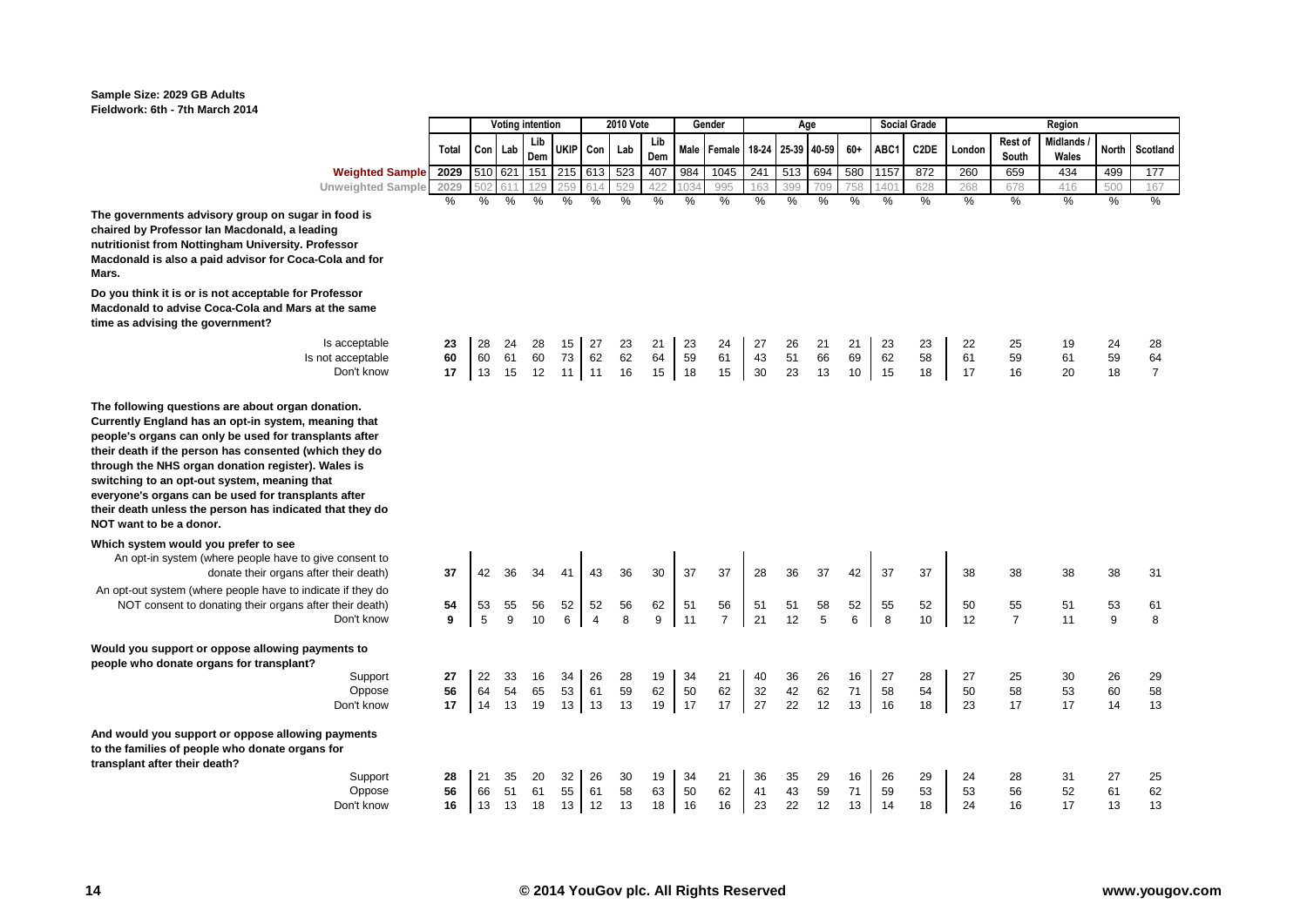|                                                                                                                                               |                      |                      |              |                   | <b>Voting intention</b> |                 |                      | <b>2010 Vote</b>  |                      |                      | Gender                                |                |                               | Age                |                      |                      | <b>Social Grade</b> |                      |                      | Region               |                      |             |
|-----------------------------------------------------------------------------------------------------------------------------------------------|----------------------|----------------------|--------------|-------------------|-------------------------|-----------------|----------------------|-------------------|----------------------|----------------------|---------------------------------------|----------------|-------------------------------|--------------------|----------------------|----------------------|---------------------|----------------------|----------------------|----------------------|----------------------|-------------|
|                                                                                                                                               |                      | Total                | Con   Lab    |                   | Lib                     | UKIP Con        |                      | Lab               | Lib                  |                      | Male   Female   18-24   25-39   40-59 |                |                               |                    | $60+$                | ABC1                 | C <sub>2</sub> DE   | London               | Rest of              | <b>Midlands</b>      | <b>North</b>         | Scotland    |
|                                                                                                                                               |                      |                      |              |                   | Dem                     |                 |                      |                   | Dem                  |                      |                                       |                |                               |                    |                      |                      |                     |                      | South                | Wales                |                      |             |
| <b>Weighted Sample</b>                                                                                                                        |                      | 2029                 | 510 621      |                   | 151 215 613             |                 |                      | 523               | 407                  | 984                  | 1045                                  | 241            | 513                           | 694                | 580                  | 1157                 | 872                 | 260                  | 659                  | 434                  | 499                  | 177         |
| <b>Unweighted Sample</b>                                                                                                                      |                      | 2029<br>%            | %            | %                 | 129<br>%                | %               | %                    | %                 | 422<br>$\frac{0}{0}$ | 03<br>$\frac{0}{0}$  | 995<br>$\frac{0}{0}$                  | 163<br>$\%$    | 399<br>%                      | 709<br>%           | 758<br>$\frac{0}{0}$ | 40 <sup>°</sup><br>% | 628<br>%            | 268<br>$\frac{0}{0}$ | 678<br>$\frac{0}{0}$ | 416<br>$\frac{0}{2}$ | 500<br>%             | 167<br>$\%$ |
|                                                                                                                                               |                      |                      |              |                   |                         |                 |                      |                   |                      |                      |                                       |                |                               |                    |                      |                      |                     |                      |                      |                      |                      |             |
|                                                                                                                                               | Feb                  | Mar                  |              |                   |                         |                 |                      |                   |                      |                      |                                       |                |                               |                    |                      |                      |                     |                      |                      |                      |                      |             |
|                                                                                                                                               | $27 - 28$            | $6 - 7$              |              |                   |                         |                 |                      |                   |                      |                      |                                       |                |                               |                    |                      |                      |                     |                      |                      |                      |                      |             |
| In your opinion how good or bad is the state of                                                                                               |                      |                      |              |                   |                         |                 |                      |                   |                      |                      |                                       |                |                               |                    |                      |                      |                     |                      |                      |                      |                      |             |
| Britain's economy at the moment?                                                                                                              |                      |                      |              |                   |                         |                 |                      |                   |                      |                      |                                       |                |                               |                    |                      |                      |                     |                      |                      |                      |                      |             |
| Very good                                                                                                                                     | $\overline{2}$       | $\overline{1}$       | 2            | 0                 | -1                      | 0               | $\overline{2}$       | 0                 | 0                    | $\overline{1}$       | $\mathbf{1}$                          | -1             | 1                             | 0                  | 1                    | -1                   | 0                   | $\overline{2}$       | $\overline{1}$       | 1                    | $\overline{1}$       | 1           |
| Quite good                                                                                                                                    | 17                   | 18                   | 45           | $\sqrt{5}$        | 22                      | 12 <sup>1</sup> | 35                   | 4                 | 15                   | 21                   | 15                                    | 15             | 15                            | 15                 | 25                   | 21                   | 13                  | 21                   | 22                   | 15                   | 16                   | 11          |
| <b>TOTAL GOOD</b>                                                                                                                             | 19                   | 19                   | 47           | 5                 | 23                      | 12              | 37                   | 4                 | 15                   | 22                   | 16                                    | 16             | 16                            | 15                 | 26                   | 22                   | 13                  | 23                   | 23                   | 16                   | 17                   | 12          |
| Neither good nor bad                                                                                                                          | 32                   | 31                   | 35           | 32                | 39                      | 28              | 30                   | 34                | 31                   | 33                   | 29                                    | 33             | 32                            | 28                 | 33                   | 33                   | 29                  | 35                   | 34                   | 29                   | 28                   | 28          |
| Quite bad                                                                                                                                     | 33                   | 32                   | 14           | 43                | 22                      | 40              | 26                   | 38                | 36                   | 28                   | 37                                    | 28             | 34                            | 35                 | 30                   | 30                   | 35                  | 26                   | 30                   | 31                   | 35                   | 44          |
| Very bad                                                                                                                                      | 13                   | 12                   | 3            | 18                | 9                       | 17              | 6                    | 20                | 9                    | 12                   | 13                                    | 8              | 11                            | 17                 | 9                    | 11                   | 14                  | 10                   | 8                    | 15                   | 16                   | 13          |
| <b>TOTAL BAD</b>                                                                                                                              | 46                   | 44                   | 17           | 61                | 31                      | 57              | 32                   | 58                | 45                   | 40                   | 50                                    | 36             | 45                            | 52                 | 39                   | 41                   | 49                  | 36                   | 38                   | 46                   | 51                   | 57          |
| Don't know                                                                                                                                    | 3                    | 6                    | $\mathbf 0$  | $\mathbf{1}$      | $\overline{7}$          | $\overline{4}$  | $\overline{2}$       | 3                 | 8                    | 5                    | 6                                     | 16             | 8                             | $\overline{4}$     | $\overline{2}$       | 3                    | 8                   | 6                    | 5                    | 8                    | 6                    | 3           |
| How do you think the financial situation of your<br>household will change over the next 12 months?<br>Get a lot better<br>Get a little better | $\overline{2}$<br>15 | $\overline{2}$<br>15 | 4<br>$26\,$  | $\mathbf 0$<br>11 | $\mathbf{1}$<br>26      | 0<br>10         | $\overline{2}$<br>22 | $\mathbf 0$<br>10 | 1<br>16              | $\overline{c}$<br>17 | $\mathbf{1}$<br>13                    | 5<br>17        | $\overline{\mathbf{c}}$<br>21 | $\mathbf{1}$<br>11 | $\mathbf{1}$<br>13   | 3<br>18              | -1<br>10            | 3<br>24              | $\mathbf{1}$<br>14   | $\overline{2}$<br>11 | $\overline{1}$<br>15 | 1<br>17     |
| <b>TOTAL BETTER</b>                                                                                                                           | 17                   | 17                   | 30           | 11                | 27                      | 10              | 24                   | 10                | 17                   | 19                   | 14                                    | 22             | 23                            | 12                 | 14                   | 21                   | 11                  | 27                   | 15                   | 13                   | 16                   | 18          |
| Stay about the same                                                                                                                           | 39                   | 41                   | 48           | 37                | 47                      | 37              | 43                   | 37                | 44                   | 41                   | 40                                    | 41             | 36                            | 38                 | 47                   | 43                   | 38                  | 37                   | 41                   | 41                   | 44                   | 35          |
| Get a little worse                                                                                                                            | 27                   | 28                   | 19           | 35                | 16                      | 36              | 24                   | 36                | 25                   | 23                   | 32                                    | 19             | 24                            | 31                 | 31                   | 25                   | 32                  | 20                   | 28                   | 31                   | 28                   | 32          |
| Get a lot worse                                                                                                                               | 10 <sup>10</sup>     | 10                   | 2            | 15                | 8                       | 13              | 6                    | 14                | 9                    | 9                    | 10                                    | $\overline{4}$ | 8                             | 15                 | $\overline{7}$       | $\overline{7}$       | 13                  | 9                    | 10                   | 10                   | 9                    | 10          |
| <b>TOTAL WORSE</b>                                                                                                                            | 37                   | 38                   | 21           | 50                | 24                      | 49              | 30                   | 50                | 34                   | 32                   | 42                                    | 23             | 32                            | 46                 | 38                   | 32                   | 45                  | 29                   | 38                   | 41                   | 37                   | 42          |
| Don't know                                                                                                                                    | $6\phantom{1}$       | 5                    | $\mathbf{1}$ | 2                 | $\overline{2}$          | 4               | $\sqrt{3}$           | $\overline{4}$    | 6                    | 6                    | 5                                     | 15             | 8                             | 4                  | $\mathbf{1}$         | 5                    | 6                   | $\overline{7}$       | 6                    | 6                    | $\overline{4}$       | 5           |
|                                                                                                                                               | March                | Mar                  |              |                   |                         |                 |                      |                   |                      |                      |                                       |                |                               |                    |                      |                      |                     |                      |                      |                      |                      |             |
|                                                                                                                                               | $4 - 5$              | $6 - 7$              |              |                   |                         |                 |                      |                   |                      |                      |                                       |                |                               |                    |                      |                      |                     |                      |                      |                      |                      |             |
| From what you have seen or heard about the situation                                                                                          |                      |                      |              |                   |                         |                 |                      |                   |                      |                      |                                       |                |                               |                    |                      |                      |                     |                      |                      |                      |                      |             |
| in Ukraine do you think Russia's intervention is or is<br>not justified?                                                                      |                      |                      |              |                   |                         |                 |                      |                   |                      |                      |                                       |                |                               |                    |                      |                      |                     |                      |                      |                      |                      |             |
| Is justified                                                                                                                                  | 8                    | 11                   | 10           | 11                | 10                      | 20              | 12                   | 10                | 8                    | 15                   | $\overline{7}$                        | 9              | 12                            | 10                 | 11                   | 13                   | 9                   | 14                   | 11                   | 11                   | 8                    | 13          |
| Is not justified                                                                                                                              | 65                   | 67                   | 71           | 73                | 78                      | 58              | 68                   | 72                | 73                   | 69                   | 65                                    | 58             | 64                            | 71                 | 69                   | 67                   | 68                  | 68                   | 69                   | 65                   | 68                   | 62          |
| Don't know                                                                                                                                    | 27                   | 22                   | 19           | 16                | 12                      | 22 <sub>1</sub> | 20                   | 18                | 19                   | 16                   | 28                                    | 32             | 24                            | 19                 | 20                   | 21                   | 24                  | 17                   | 20                   | 25                   | 23                   | 26          |
| Generally speaking, who do you have more sympathy<br>for?                                                                                     |                      |                      |              |                   |                         |                 |                      |                   |                      |                      |                                       |                |                               |                    |                      |                      |                     |                      |                      |                      |                      |             |
| The Russian government                                                                                                                        |                      | 3                    | 3            | 3                 | -1                      | 6               | 3                    | 2                 | 2                    | 4                    | 2                                     | 3              | 3                             | 3                  | 2                    | 3                    | 2                   | 5                    | 3                    |                      | 2                    | 2           |
| The new Ukrainian government                                                                                                                  |                      | 50                   | 50           | 58                | 65                      | 46              | 51                   | 53                | 55                   | 54                   | 46                                    | 40             | 46                            | 52                 | 54                   | 51                   | 48                  | 57                   | 53                   | 44                   | 47                   | 50          |
| Neither                                                                                                                                       |                      | 34                   | 35           | 30                | 23                      | 39              | 35                   | 32                | $30\,$               | 35                   | 33                                    | 32             | 35                            | 33                 | 35                   | 33                   | 34                  | 28                   | 34                   | 34                   | 36                   | 33          |
| Don't know                                                                                                                                    |                      | 14                   | 12           | 9                 | 10                      | 10              | 11                   | 12                | 13                   | 8                    | 19                                    | 25             | 16                            | 12                 | 9                    | 13                   | 15                  | 10                   | 11                   | 20                   | 14                   | 14          |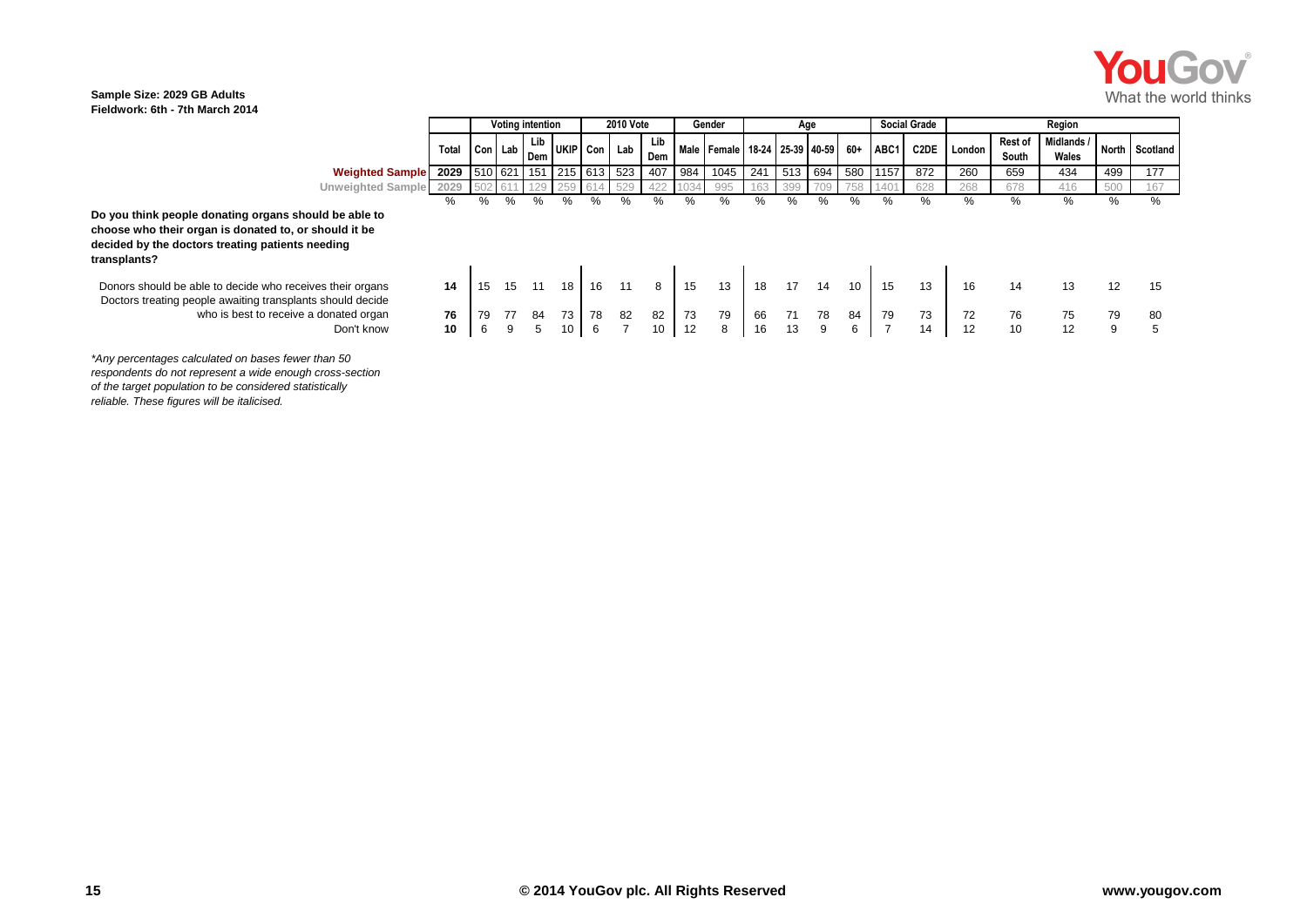|                                                                   |                |                          |                | <b>Voting intention</b> |                      |                | 2010 Vote    |                         |                | Gender         |                      | Age            |                |                         |              | <b>Social Grade</b> |                |                         | Region            |                         |                |
|-------------------------------------------------------------------|----------------|--------------------------|----------------|-------------------------|----------------------|----------------|--------------|-------------------------|----------------|----------------|----------------------|----------------|----------------|-------------------------|--------------|---------------------|----------------|-------------------------|-------------------|-------------------------|----------------|
|                                                                   | Total          |                          | Con Lab        | Lib<br>Dem              | <b>UKIP</b>          | Con            | Lab          | Lib<br>Dem              | Male           | Female         | 18-24                | 25-39 40-59    |                | $60+$                   | ABC1         | C <sub>2</sub> DE   | London         | <b>Rest of</b><br>South | Midlands<br>Wales | <b>North</b>            | Scotland       |
| <b>Weighted Sample</b>                                            | 2029           |                          | 510 621        | 151                     | 215                  | 613            | 523          | 407                     | 984            | 1045           | 241                  | 513            | 694            | 580                     | 1157         | 872                 | 260            | 659                     | 434               | 499                     | 177            |
| <b>Unweighted Sample</b>                                          | 2029           |                          | 61             |                         | 259                  |                | 529          | 422                     | 03             | 995            | 163                  | 399            | 709            | 758                     | 401          | 628                 | 268            | 678                     | 416               | 500                     | 167            |
|                                                                   | $\%$           | $\%$                     | %              | %                       | %                    | $\%$           | %            | %                       | %              | %              | $\%$                 | %              | %              | %                       | %            | %                   | %              | %                       | $\frac{0}{0}$     | %                       | %              |
| How well or badly do you think the following have                 |                |                          |                |                         |                      |                |              |                         |                |                |                      |                |                |                         |              |                     |                |                         |                   |                         |                |
| handled the ongoing situation in Ukraine?<br><b>David Cameron</b> |                |                          |                |                         |                      |                |              |                         |                |                |                      |                |                |                         |              |                     |                |                         |                   |                         |                |
| Very well                                                         | 3              | 8                        | 2              | $\overline{2}$          | -1                   | 6              | -1           | $\mathbf{1}$            | 4              | 3              | 6                    | $\overline{2}$ | $\overline{2}$ | 4                       | 4            | $\overline{2}$      | $\overline{4}$ | 3                       | $\mathbf{1}$      | 4                       | 3              |
| Fairly well                                                       | 31             | 52                       | 22             | 40                      | 28                   | 48             | 21           | 29                      | 33             | 29             | 20                   | 28             | 28             | 42                      | 35           | 26                  | 35             | 37                      | 29                | 27                      | 20             |
| Fairly badly                                                      | 24             | 13                       | 33             | 22                      | 30                   | 20             | 31           | 25                      | 27             | 22             | 22                   | 25             | 24             | 24                      | 24           | 24                  | 23             | 20                      | 26                | 25                      | 32             |
| Very badly                                                        | 9              | $\overline{2}$           | 15             | $\overline{4}$          | 12                   | 3              | 14           | $\overline{7}$          | 12             | $\overline{7}$ | 10                   | 10             | 11             | $\overline{7}$          | 8            | 11                  | 11             | 9                       | $\overline{7}$    | 10                      | 15             |
| Don't know                                                        | 32             | 25                       | 28             | 32                      | 29                   | 23             | 33           | 39                      | 25             | 39             | 42                   | 36             | 34             | 23                      | 29           | 37                  | 27             | 31                      | 36                | 34                      | 31             |
| <b>Vladimir Putin</b>                                             |                |                          |                |                         |                      |                |              |                         |                |                |                      |                |                |                         |              |                     |                |                         |                   |                         |                |
| Very well                                                         | 3              | 4                        | 2              | 4                       | 8                    | 5              | 2            | $\overline{\mathbf{c}}$ | 5              | -1             | 5                    | 2              | 3              | 4                       | 4            | $\overline{2}$      | $\overline{7}$ | 3                       | $\overline{2}$    | $\overline{\mathbf{c}}$ | $\overline{2}$ |
| Fairly well                                                       | $\overline{7}$ | 10                       | $\overline{4}$ | 12                      | 12                   | 9              | 5            | $\overline{7}$          | 9              | 6              | 8                    | $\overline{7}$ | 6              | 9                       | 9            | 6                   | 10             | 6                       | $\overline{7}$    | $\overline{7}$          | 10             |
| Fairly badly                                                      | 24             | 31                       | 22             | 26                      | 24                   | 32             | 24           | 20                      | 25             | 24             | 17                   | 23             | 25             | 28                      | 25           | 23                  | 19             | 26                      | 25                | 24                      | 21             |
| Very badly                                                        | 44             | 42                       | 55             | 44                      | 38                   | 41             | 49           | 51                      | 46             | 42             | 37                   | 43             | 47             | 46                      | 44           | 44                  | 48             | 45                      | 41                | 45                      | 42             |
| Don't know                                                        | 21             | 13                       | 17             | 14                      | 18                   | 13             | 20           | 20                      | 14             | 27             | 33                   | 25             | 19             | 14                      | 18           | 25                  | 16             | 19                      | 25                | 22                      | 24             |
| <b>Barack Obama</b>                                               |                |                          |                |                         |                      |                |              |                         |                |                |                      |                |                |                         |              |                     |                |                         |                   |                         |                |
| Very well                                                         | 3              | $\overline{\mathcal{A}}$ | 4              | $\overline{4}$          | 2                    | 4              | 2            | $\overline{4}$          | 3              | 3              | $\overline{4}$       | $\overline{2}$ | 3              | 3                       | 3            | 3                   | 3              | 4                       | $\mathbf{1}$      | 3                       | 3              |
| Fairly well                                                       | 30             | 37                       | 33             | 38                      | 21                   | 35             | 34           | 27                      | 32             | 29             | 31                   | 31             | 27             | 34                      | 32           | 28                  | 32             | 31                      | 30                | 31                      | 26             |
| Fairly badly                                                      | 26             | 30                       | 27             | 28                      | 31                   | 31             | 25           | 25                      | 30             | 22             | 22                   | 23             | 26             | 30                      | 28           | 23                  | 29             | 26                      | 28                | 23                      | 24             |
| Very badly                                                        | 11             | 8                        | 10             | $\sqrt{5}$              | 21                   | 9              | 12           | $\overline{7}$          | 13             | 9              | $6\phantom{1}6$      | 11             | 10             | 13                      | 10           | 12                  | 13             | 11                      | 9                 | 8                       | 18             |
| Don't know                                                        | 30             | 22                       | 25             | 25                      | 26                   | 22             | 28           | 36                      | 21             | 38             | 37                   | 33             | 33             | 21                      | 26           | 35                  | 22             | 28                      | 33                | 35                      | 29             |
| <b>The United Nations</b>                                         |                |                          |                |                         |                      |                |              |                         |                |                |                      |                |                |                         |              |                     |                |                         |                   |                         |                |
| Very well                                                         | $\overline{2}$ | 2                        | 2              | 4                       | 3                    | 2              | 2            | 2                       | $\mathbf 1$    | 2              | $\overline{c}$       | $\overline{2}$ | $\overline{2}$ | $\overline{2}$          | 2            | 2                   | 3              | 2                       | $\mathbf{1}$      | 3                       | $\mathbf{1}$   |
| Fairly well                                                       | 24             | 30                       | 27             | 28                      | 19                   | 29             | 26           | 23                      | 25             | 24             | 19                   | 25             | 21             | 30                      | 24           | 25                  | 24             | 24                      | 23                | 24                      | 27             |
| Fairly badly                                                      | 26             | 28                       | 28             | 24                      | 34                   | 29             | 26           | 26                      | 32             | 21             | 28                   | 25             | 27             | 26                      | 29           | 22                  | 34             | 27                      | 25                | 23                      | 24             |
| Very badly                                                        | 12             | 9                        | 11             | 11                      | 18                   | 11             | 11           | 9                       | 16             | 8              | 9                    | 11             | 12             | 13                      | 12           | 11                  | 12             | 11                      | 11                | 12                      | 13             |
| Don't know                                                        | 36             | 31                       | 32             | 33                      | 27                   | 30             | 35           | 41                      | 26             | 46             | 42                   | 38             | 38             | 30                      | 33           | 40                  | 27             | 35                      | 40                | 39                      | 36             |
|                                                                   |                |                          |                |                         |                      |                |              |                         |                |                |                      |                |                |                         |              |                     |                |                         |                   |                         |                |
| The European Union<br>Very well                                   | -1             | 3                        | $\mathbf{1}$   | 3                       | -1                   | 2              | 2            | $\mathbf{1}$            | $\overline{1}$ | $\overline{1}$ | 3                    | -1             | $\mathbf{1}$   | $\overline{\mathbf{c}}$ | 2            | 1                   | 3              | $\overline{c}$          | 0                 | $\overline{1}$          | $\mathbf 0$    |
| Fairly well                                                       | 23             | 30                       | 24             | 34                      | 14                   | 28             | 25           | 23                      | 24             | 22             | 16                   | 22             | 21             | 29                      | 23           | 24                  | 23             | 24                      | 22                | 24                      | 24             |
| Fairly badly                                                      | 27             | 26                       | 30             | 26                      | 34                   | 28             | 26           | 27                      | 34             | 20             | 29                   | 27             | 27             | 25                      | 29           | 24                  | 32             | 28                      | 29                | 23                      | 23             |
| Very badly                                                        | 13             | 11                       | 12             | 9                       | 26                   | 14             | 11           | 10                      | 17             | 9              | 10                   | 11             | 13             | 16                      | 13           | 13                  | 18             | 13                      | 10                | 14                      | 14             |
| Don't know                                                        | 35             | 30                       | 33             | 29                      | 26                   | 29             | 35           | 38                      | 24             | 47             | 42                   | 38             | 37             | 28                      | 33           | 38                  | 25             | 34                      | 39                | 39                      | 39             |
|                                                                   |                |                          |                |                         |                      |                |              |                         |                |                |                      |                |                |                         |              |                     |                |                         |                   |                         |                |
| And which leader do you think has come out of the                 |                |                          |                |                         |                      |                |              |                         |                |                |                      |                |                |                         |              |                     |                |                         |                   |                         |                |
| situation in the Ukraine the best?<br><b>Vladimir Putin</b>       |                |                          | $\overline{7}$ |                         |                      |                |              |                         |                |                |                      |                |                |                         |              |                     |                |                         |                   |                         |                |
| <b>Barack Obama</b>                                               | 11<br>8        | 14<br>6                  | 13             | 13<br>15                | 17<br>$\overline{4}$ | 13<br>8        | 7<br>11      | 10<br>11                | 16<br>9        | 5<br>8         | 11<br>$\overline{7}$ | 9<br>$9\,$     | 9<br>10        | 13<br>$\,6\,$           | 12<br>9      | 9<br>$\overline{7}$ | 14<br>11       | 11<br>8                 | 11<br>6           | 8<br>9                  | 9<br>9         |
| Angela Merkel                                                     | $\overline{7}$ |                          | 10             | 8                       | 6                    | $\overline{7}$ | 10           | 9                       |                |                |                      | $\overline{7}$ |                | 8                       | 8            |                     |                | $\overline{7}$          | 7                 | $\overline{7}$          |                |
| David Cameron                                                     |                | 8                        |                | 5                       |                      | $\overline{7}$ |              |                         | 9              | 6              | 6                    |                | 8              |                         |              | 6                   | 9              |                         |                   |                         | 10             |
|                                                                   | 4              | 8                        | 3              |                         | 6                    |                | 2            | $\overline{2}$          | 5              | 3              | 8                    | 5              | 3              | 3                       | 4            | $\overline{4}$      | 5              | 5                       | $\overline{2}$    | 5                       | 3              |
| Francois Hollande                                                 | $\mathbf 0$    | 0                        | $\mathbf{1}$   | 0                       | 0                    | 0              | $\mathbf{1}$ | $\mathbf 0$             | $\mathbf 0$    | 0              | $\mathbf 0$          | $\mathbf 0$    | $\mathbf 0$    | $\mathbf 0$             | 0            | $\mathbf 0$         | $\mathbf 0$    | 0                       | $\Omega$          | 0                       | $\mathbf 0$    |
| Someone else                                                      | $\mathbf{1}$   | $\overline{\mathbf{c}}$  | $\overline{2}$ | 0                       | $\mathbf{1}$         | $\mathbf{1}$   | 2            | $\mathbf 0$             | $\sqrt{2}$     | $\overline{1}$ | $\overline{c}$       | $\overline{2}$ | $\mathbf{1}$   | $\overline{1}$          | $\mathbf{1}$ | $\mathbf{1}$        | 0              | $\overline{c}$          | $\Omega$          | $\overline{\mathbf{c}}$ | $\mathbf 0$    |
| None of them                                                      | 44             | 43                       | 46             | 35                      | 50                   | 46             | 46           | 39                      | 44             | 43             | 30                   | 38             | 47             | 51                      | 42           | 46                  | 43             | 45                      | 44                | 45                      | 40             |
| Don't know                                                        | 24             | 20                       | 18             | 24                      | 17                   | 18             | 21           | 29                      | 15             | 33             | 36                   | 29             | 23             | 17                      | 23           | 26                  | 17             | 22                      | 30                | 25                      | 29             |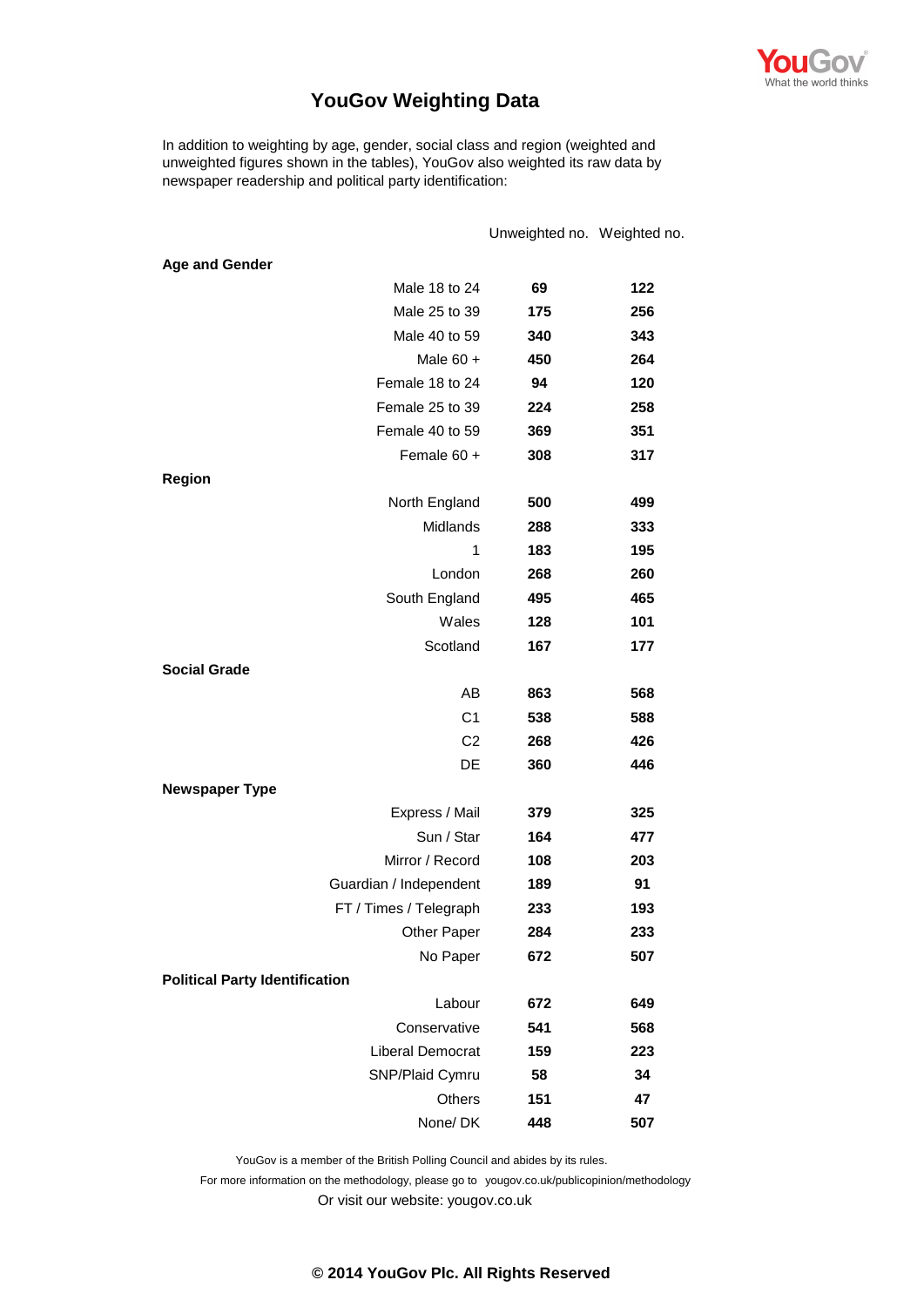|                                                                                                                                                                              |                |                |                | <b>Voting intention</b> |                  |                | <b>2010 Vote</b> |                |                | Gender                                |                | Age            |                |                |                | <b>Social Grade</b> |                |                  | Region                   |                |                |
|------------------------------------------------------------------------------------------------------------------------------------------------------------------------------|----------------|----------------|----------------|-------------------------|------------------|----------------|------------------|----------------|----------------|---------------------------------------|----------------|----------------|----------------|----------------|----------------|---------------------|----------------|------------------|--------------------------|----------------|----------------|
|                                                                                                                                                                              | Total          |                | Con Lab        | Lib<br>Dem              | <b>UKIP</b>      | Con Lab        |                  | Lib<br>Dem     |                | Male   Female   18-24   25-39   40-59 |                |                |                | $60+$          | ABC1           | C <sub>2</sub> DE   | London         | Rest of<br>South | <b>Midlands</b><br>Wales | <b>North</b>   | Scotland       |
| <b>Weighted Sample</b>                                                                                                                                                       | 2029           | 510 621        |                | 151                     | $\overline{215}$ | 613            | 523              | 407            | 984            | 1045                                  | 241            | 513            | 694            | 580            | 1157           | 872                 | 260            | 659              | 434                      | 499            | 177            |
| <b>Unweighted Sample</b>                                                                                                                                                     | 2029           | 502            | 61             | 129                     | 259              | 614            | 529              | 422            | 1034           | 995                                   | 163            | 399            | 709            | 758            | 1401           | 628                 | 268            | 678              | 416                      | 500            | 167            |
|                                                                                                                                                                              | $\%$           | %              | %              | %                       | $\%$             | $\%$           | %                | $\%$           | %              | $\%$                                  | %              | $\frac{0}{2}$  | $\frac{9}{6}$  | $\frac{9}{6}$  | %              | %                   | $\frac{0}{6}$  | %                | %                        | %              | $\frac{9}{6}$  |
| iplomatic, economic or<br>rn countries should take in<br>n Ukraine, which of the<br>ır view?<br>ke action of some sort to ensure                                             |                |                |                |                         |                  |                |                  |                |                |                                       |                |                |                |                |                |                     |                |                  |                          |                |                |
| against any Russian aggression<br>and keeps control of the Crimea<br>Russia and the Ukraine does not<br>estern countries, and we should<br>he Ukraine to sort it out between | 33             | 35             | 39             | 45                      | 26               | 33             | 37               | 36             | 35             | 30                                    | 29             | 36             | 35             | 29             | 34             | 32                  | 40             | 36               | 25                       | 31             | 32             |
| themselves                                                                                                                                                                   | 28             | 30             | 25             | 20                      | 48               | 32             | 23               | 21             | 27             | 29                                    | 23             | 22             | 28             | 34             | 26             | 30                  | 23             | 26               | 33                       | 29             | 26             |
| Neither                                                                                                                                                                      | 20             | 21             | 19             | 18                      | 15               | 20             | 21               | 21             | 22             | 18                                    | 18             | 18             | 21             | 22             | 23             | 16                  | 22             | 21               | 16                       | 21             | 22             |
| Don't know                                                                                                                                                                   | 20             | 14             | 16             | 18                      | 12               | 15             | 19               | 21             | 16             | 24                                    | 31             | 25             | 16             | 15             | 18             | 23                  | 15             | 18               | 26                       | 20             | 20             |
| at Britain and the West could<br>of the following better                                                                                                                     |                |                |                |                         |                  |                |                  |                |                |                                       |                |                |                |                |                |                     |                |                  |                          |                |                |
| e Ukraine are unacceptable; it is<br>k with other countries to impose<br>nst Russia, even if there is some<br>limited cost to Britain's economy                              | 42             | 47             |                | 58                      | 27               | 41             | 46               | 50             | 46             | 38                                    | 32             | 42             | 46             | 41             | 44             | 40                  | 48             | 43               | 36                       | 43             | 41             |
| ne do not directly affect Britain's<br>ot take any actions against them<br>economy at all, however slightly<br>Neither<br>Don't know                                         | 25<br>15<br>19 | 29<br>10<br>14 | 22<br>15<br>15 | 14<br>15<br>13          | 45<br>14<br>13   | 31<br>14<br>14 | 21<br>16<br>17   | 18<br>15<br>18 | 26<br>14<br>14 | 23<br>15<br>23                        | 22<br>14<br>32 | 20<br>16<br>22 | 23<br>15<br>16 | 32<br>14<br>14 | 24<br>16<br>16 | 26<br>13<br>22      | 20<br>15<br>17 | 24<br>16<br>17   | 30<br>12<br>22           | 24<br>14<br>19 | 23<br>18<br>19 |

**Thinking about potential diplomatic, economic or** military actions that Western countries should ta response to the situation in Ukraine, which of th **following best reflects your view?**

Western countries should take action of some sort to that Ukraine is defended against any Russian age and keeps control of the

The situation between Russia and the Ukraine affect the interests of Western countries, and w leave Russia and the Ukraine to sort it out

#### **Thinking about actions that Britain and the West** take against Russia, which of the following bette **reflects your view?**

Russia's actions in the Ukraine are unaccepta important that we work with other countries to economic sanctions against Russia, even if there

Russia's actions in the Ukraine do not directly affect interests, so we should not take any actions agai that might hurt Britain's economy at all, however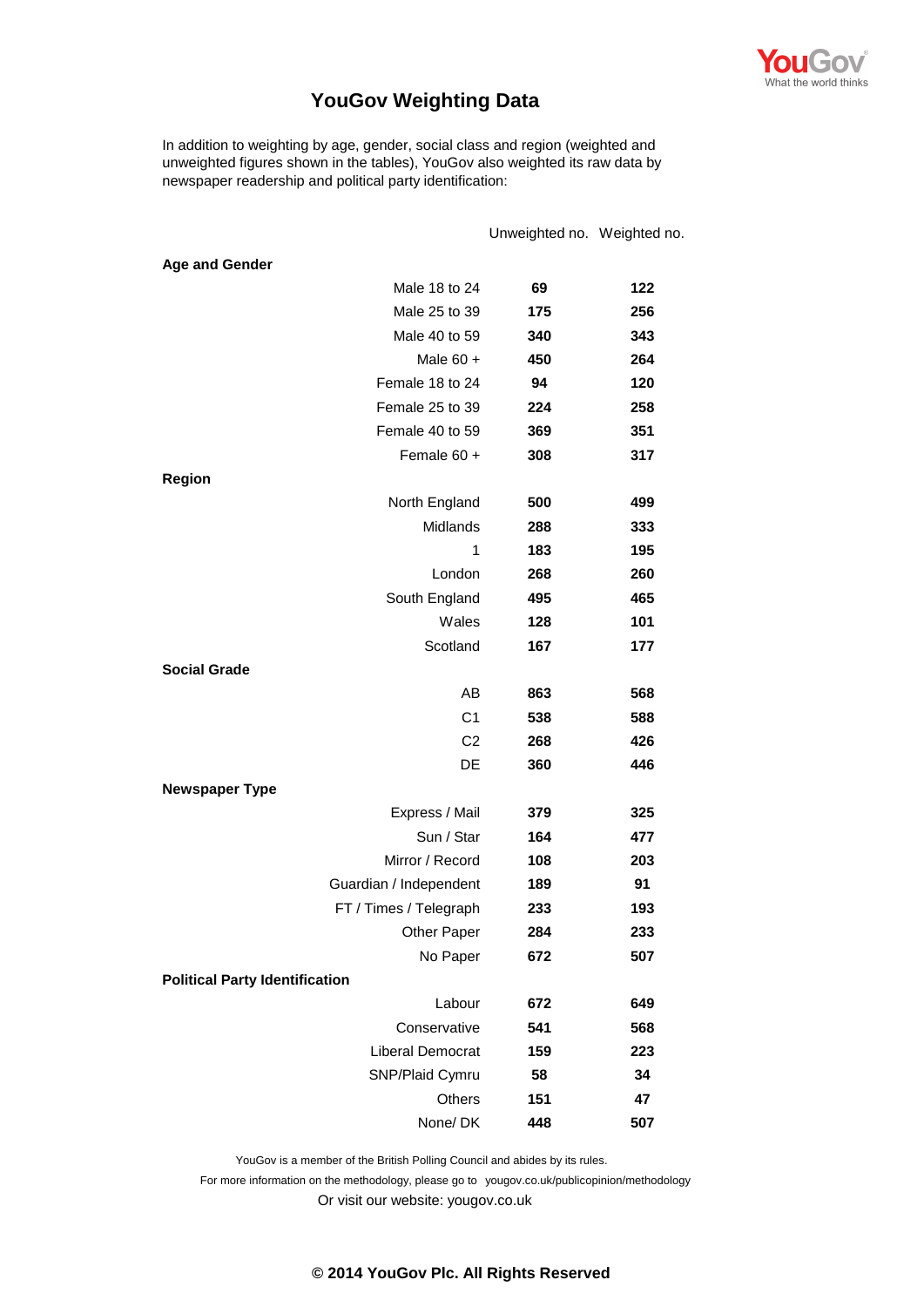|                                                                      |          |          |          | <b>Voting intention</b> |          |          | 2010 Vote     |          |          | Gender   |          |                   | Age      |          |                 | <b>Social Grade</b> |               |                | Region          |              |               |
|----------------------------------------------------------------------|----------|----------|----------|-------------------------|----------|----------|---------------|----------|----------|----------|----------|-------------------|----------|----------|-----------------|---------------------|---------------|----------------|-----------------|--------------|---------------|
|                                                                      |          |          |          | Lib                     |          |          |               | Lib      |          |          |          |                   |          |          |                 |                     |               | <b>Rest of</b> | <b>Midlands</b> |              |               |
|                                                                      | Total    | Con      | Lab      | Dem                     | UKIP     | Con      | Lab           | Dem      | Male     | Female   |          | 18-24 25-39 40-59 |          | $60+$    | ABC1            | C <sub>2</sub> DE   | London        | South          | Wales           | <b>North</b> | Scotland      |
| <b>Weighted Sample</b>                                               | 2029     | 510 621  |          | 151                     | 215 613  |          | 523           | 407      | 984      | 1045     | 241      | 513               | 694      | 580      | 1157            | 872                 | 260           | 659            | 434             | 499          | 177           |
| <b>Unweighted Sample</b>                                             | 2029     | 502      |          | 129                     | 259      |          | 529           | 422      |          | 995      | 163      | 399               |          |          | 40 <sup>°</sup> | 628                 | 268           | 678            | 416             | 500          | 167           |
|                                                                      | $\%$     | $\%$     | $\%$     | %                       | %        | %        | $\frac{0}{2}$ | %        | %        | %        | %        | %                 | %        | %        | $\frac{9}{6}$   | $\%$                | $\frac{0}{0}$ | $\frac{9}{6}$  | $\frac{0}{2}$   | %            | $\frac{9}{6}$ |
| Thinking more specifically about the type of actions                 |          |          |          |                         |          |          |               |          |          |          |          |                   |          |          |                 |                     |               |                |                 |              |               |
| western countries could take in response to the                      |          |          |          |                         |          |          |               |          |          |          |          |                   |          |          |                 |                     |               |                |                 |              |               |
| situation in Ukraine, would you support or oppose                    |          |          |          |                         |          |          |               |          |          |          |          |                   |          |          |                 |                     |               |                |                 |              |               |
| Britain and other Western countries taking the                       |          |          |          |                         |          |          |               |          |          |          |          |                   |          |          |                 |                     |               |                |                 |              |               |
| following actions?                                                   |          |          |          |                         |          |          |               |          |          |          |          |                   |          |          |                 |                     |               |                |                 |              |               |
| Imposing trade sanctions on Russia                                   |          |          |          |                         |          |          |               |          |          |          |          |                   |          |          |                 |                     |               |                |                 |              |               |
| Support                                                              | 50       | 52<br>28 | 57       | 57                      | 44<br>33 | 50       | 54            | 53<br>20 | 55<br>26 | 45       | 43<br>24 | 46                | 54<br>24 | 50       | 51<br>26        | 48                  | 55            | 50             | 44              | 52           | 50            |
| Oppose<br>Don't know                                                 | 25<br>26 |          | 21<br>22 | 25                      | 24       | 29       | 21<br>25      | 27       |          | 24<br>32 | 33       | 21<br>33          | 22       | 29<br>21 | 23              | 23<br>29            | 24            | 26<br>24       | 24<br>33        | 23           | 26<br>24      |
|                                                                      |          | 20       |          | 18                      |          | 21       |               |          | 20       |          |          |                   |          |          |                 |                     | 21            |                |                 | 25           |               |
| Expelling Russia from the G8 group of countries<br>Support           | 38       | 35       | 44       | 43                      | 39       | 37       | 42            | 37       | 43       | 33       | 37       | 35                | 41       | 37       | 39              | 36                  | 42            | 38             | 34              | 42           | 29            |
| Oppose                                                               | 33       | 42       | 30       | 36                      | 38       | 39       | 28            | 33       | 36       | 30       | 27       | 28                | 33       | 39       | 35              | 30                  | 34            | 36             | 32              | 29           | 35            |
| Don't know                                                           | 29       | 23       | 26       | 21                      | 23       | 23       | 29            | 30       | 21       | 37       | 36       | 36                | 26       | 24       | 26              | 34                  | 24            | 26             | 34              | 29           | 36            |
| Breaking off diplomatic relations with Russia                        |          |          |          |                         |          |          |               |          |          |          |          |                   |          |          |                 |                     |               |                |                 |              |               |
| Support                                                              | 21       | 19       | 25       | 15                      | 22       | 19       | 21            | 20       | 21       | 20       | 24       | 20                | 23       | 17       | 19              | 22                  | 20            | 19             | 20              | 23           | 21            |
| Oppose                                                               | 55       | 64       | 51       | 71                      | 59       | 63       | 51            | 57       | 59       | 51       | 46       | 51                | 53       | 64       | 60              | 48                  | 59            | 62             | 50              | 50           | 50            |
| Don't know                                                           | 24       | 18       | 24       | 14                      | 19       | 18       | 28            | 23       | 19       | 29       | 30       | 29                | 24       | 19       | 21              | 29                  | 21            | 19             | 30              | 27           | 29            |
| Freezing Russian assets in Western banks                             |          |          |          |                         |          |          |               |          |          |          |          |                   |          |          |                 |                     |               |                |                 |              |               |
| Support                                                              | 38       | 35       | 44       | 43                      | 39       | 38       | 38            | 42       | 43       | 35       | 34       | 34                | 44       | 37       | 37              | 40                  | 43            | 37             | 34              | 42           | 35            |
| Oppose                                                               | 33       | 42       | 31       | 30                      | 38       | 41       | 30            | 28       | 36       | 30       | 29       | 33                | 30       | 38       | 36              | 29                  | 34            | 35             | 35              | 26           | 36            |
| Don't know                                                           | 29       | 23       | 24       | 26                      | 23       | 22       | 32            | 30       | 21       | 35       | 37       | 33                | 26       | 25       | 27              | 31                  | 23            | 27             | 30              | 31           | 30            |
| Giving financial aid to the new Ukrainian government                 |          |          |          |                         |          |          |               |          |          |          |          |                   |          |          |                 |                     |               |                |                 |              |               |
|                                                                      | 32       | 31       |          |                         |          |          | 37            | 38       | 40       |          | 28       |                   | 32       | 32       | 35              | 28                  | 40            | 33             | 26              |              | 37            |
| Support<br>Oppose                                                    | 38       | 47       | 40<br>30 | 43<br>29                | 19<br>58 | 28<br>47 | 33            | 30       | 36       | 24<br>39 | 34       | 34<br>30          | 41       | 43       | 37              | 39                  | 32            | 42             | 41              | 30<br>35     | 31            |
| Don't know                                                           | 30       | 22       | 30       | 27                      | 23       | 25       | 30            | 32       | 24       | 36       | 39       | 36                | 27       | 25       | 28              | 33                  | 28            | 25             | 33              | 35           | 32            |
|                                                                      |          |          |          |                         |          |          |               |          |          |          |          |                   |          |          |                 |                     |               |                |                 |              |               |
| Giving military aid to the new Ukrainian government                  |          |          |          |                         |          |          |               |          |          |          |          |                   |          |          |                 |                     |               |                |                 |              |               |
| Support                                                              | 15       | 15       | 19       | 17                      | 9        | 13       | 17            | 14       | 17       | 13       | 21       | 20                | 15       | 9        | 16              | 15                  | 18            | 15             | 14              | 15           | 16            |
| Oppose                                                               | 59       | 66       | 56       | 63                      | 71       | 68       | 59            | 55       | 63       | 55       | 43       | 49                | 64       | 68       | 61              | 56                  | 56            | 62             | 60              | 55           | 59            |
| Don't know                                                           | 26       | 18       | 25       | 20                      | 20       | 18       | 25            | 31       | 19       | 32       | 36       | 31                | 21       | 23       | 24              | 29                  | 26            | 23             | 26              | 30           | 26            |
| Deploying Western troops to defend the Ukraine from<br><b>Russia</b> |          |          |          |                         |          |          |               |          |          |          |          |                   |          |          |                 |                     |               |                |                 |              |               |
| Support                                                              | 11       | 8        | 14       | 18                      | 7        | 7        | 11            | 11       | 13       | 8        | 17       | 17                | 10       | 4        | 10              | 12                  | 16            | 9              | 11              | 11           | 10            |
| Oppose                                                               | 64       | 76       | 64       | 62                      | 76       | 76       | 65            | 59       | 68       | 61       | 48       | 51                | 70       | 77       | 69              | 59                  | 59            | 71             | 61              | 62           | 68            |
| Don't know                                                           | 25       | 16       | 22       | 20                      | 17       | 17       | 25            | 29       | 19       | 30       | 34       | 32                | 21       | 19       | 21              | 29                  | 25            | 21             | 28              | 28           | 22            |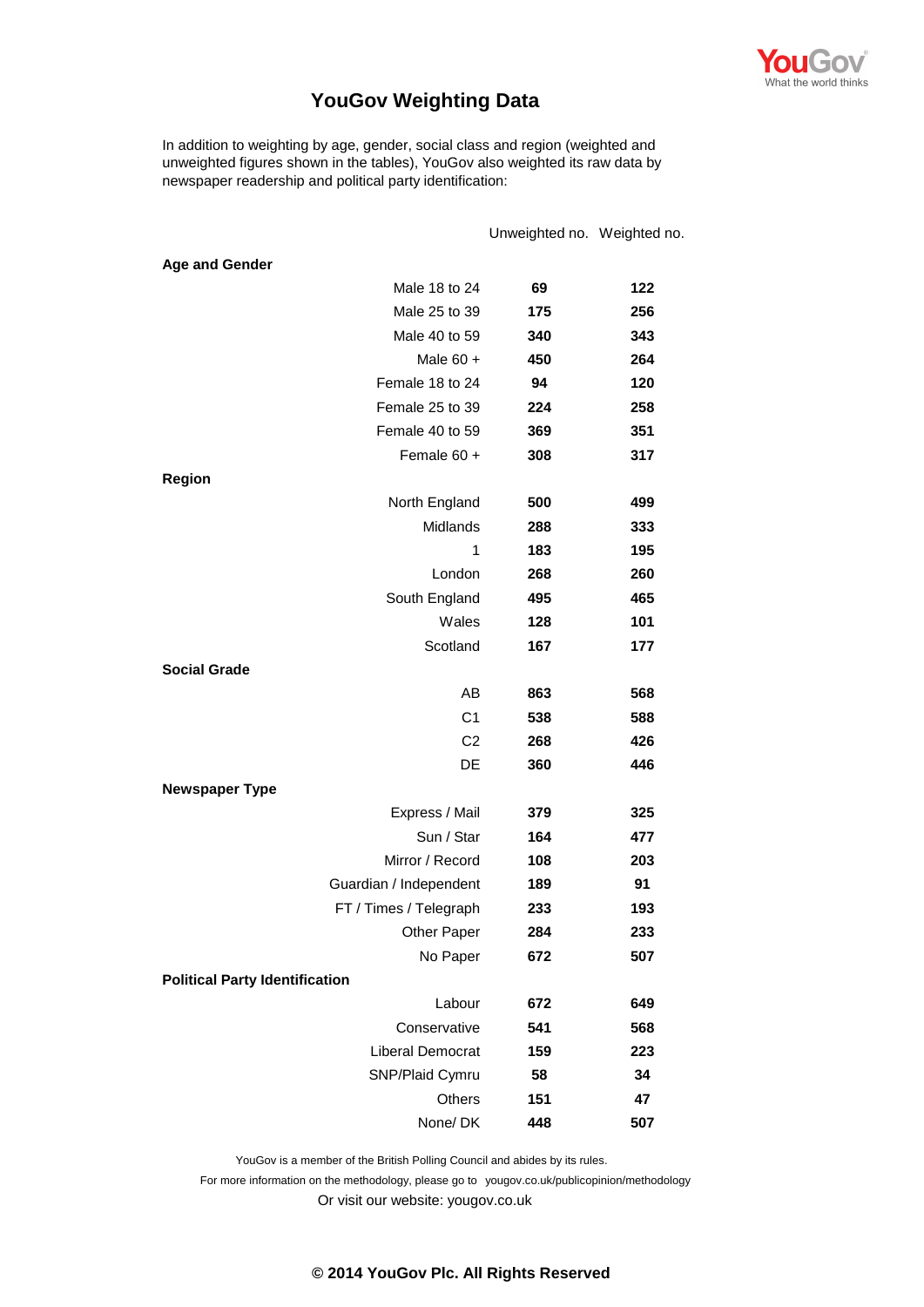|                                                                                                                                              |       |     |         | <b>Voting intention</b>   |             |               | 2010 Vote |            |      | Gender                |     | Age              |                |                |                | <b>Social Grade</b> |                  |                  | Region                   |       |                  |
|----------------------------------------------------------------------------------------------------------------------------------------------|-------|-----|---------|---------------------------|-------------|---------------|-----------|------------|------|-----------------------|-----|------------------|----------------|----------------|----------------|---------------------|------------------|------------------|--------------------------|-------|------------------|
|                                                                                                                                              | Total |     | Con Lab | Lib<br>Dem                | <b>UKIP</b> | Con           | Lab       | Lib<br>Dem |      | Male   Female   18-24 |     | 25-39 40-59      |                | $60+$          | ABC1           | C <sub>2</sub> DE   | London           | Rest of<br>South | <b>Midlands</b><br>Wales | North | Scotland         |
| <b>Weighted Sample</b>                                                                                                                       | 2029  |     | 510 621 | 151                       | 215         | 613           | 523       | 407        | 984  | 1045                  | 241 | 513              | 694            | 580            | 1157           | 872                 | 260              | 659              | 434                      | 499   | 177              |
| <b>Unweighted Sample</b>                                                                                                                     | 2029  | 502 | 61      | 129                       | 259         | 614           | 529       | 422        | 1034 | 995                   | 163 | 399              | 709            | 758            | 1401           | 628                 | 268              | 678              | 416                      | 500   | 167              |
|                                                                                                                                              | %     | %   | %       | %                         | %           | $\frac{9}{6}$ | %         | %          | %    | $\%$                  | %   | %                | %              | %              | %              | $\frac{0}{0}$       | %                | %                | $\frac{9}{6}$            | $\%$  | $\frac{0}{6}$    |
| tuation in Ukraine develops,<br>manently take control of the<br>ne, which of the following                                                   |       |     |         |                           |             |               |           |            |      |                       |     |                  |                |                |                |                     |                  |                  |                          |       |                  |
| to take over part of Ukraine and<br>efforts to stop them fail, the USA<br>OULD take military action to stop<br>it                            | 15    | 12  | 19      | 16                        |             | 10            | 15        | 17         | 16   | 14                    | 25  | 25               | 13             | 5              | 14             | 17                  | 16               | 15               | 14                       |       | 19               |
| to take over part of Ukraine and<br>efforts to stop them fail, the USA                                                                       |       |     |         |                           | 12          |               |           |            |      |                       |     |                  |                |                |                |                     |                  |                  |                          | 14    |                  |
| OULD take military action to stop<br>ake over part of Ukraine it would<br>loing so, and the USA and other<br>NOT go as far as using military | 48    | 57  | 46      | 60                        | 48          | 57            | 48        | 49         | 51   | 44                    | 36  | 36               | 51             | 59             | 53             | 41                  | 46               | 53               | 43                       | 46    | 49               |
| action to stop it                                                                                                                            | 9     | 11  | 6       | 5                         | 20          | 11            | 6         | 8          | 12   | 5                     | 4   | 6                | 9              | 12             | 9              | 8                   | 9                | 10               | 8                        | 8     |                  |
| None of these                                                                                                                                | 8     | 3   | 12      | $\mathbf 5$               | 5           | $\sqrt{5}$    | 12        | $\,6$      | 6    | 10                    | 8   | $\boldsymbol{9}$ | 8              | 8              | $\overline{7}$ | 10                  | $\boldsymbol{9}$ | 6                | 10                       | 9     | $\boldsymbol{9}$ |
| Don't know                                                                                                                                   | 20    | 17  | 17      | 14                        | 14          | 17            | 18        | 20         | 14   | 26                    | 27  | 24               | 18             | 16             | 17             | 25                  | 19               | 17               | 25                       | 23    | 16               |
| here Russian troops invaded<br>e, such as the Baltic<br>NATO members, which of the<br>r view?                                                |       |     |         |                           |             |               |           |            |      |                       |     |                  |                |                |                |                     |                  |                  |                          |       |                  |
| s to invade the Baltic states and<br>ic efforts to stop them failed, the<br>SHOULD take military action to                                   |       |     |         |                           |             |               |           |            |      |                       |     |                  |                |                |                |                     |                  |                  |                          |       |                  |
| stop it<br>s to invade the Baltic states and<br>ic efforts to stop them failed, the<br>untries SHOULD NOT go as far                          | 43    | 49  |         | 54                        | 41          | 47            | 43        | 47         | 50   | 37                    | 47  | 46               | 45             | 38             | 46             | 40                  | 46               | 45               | 41                       | 43    | 42               |
| as using military action to stop it<br>invade the Baltic states it would                                                                     | 28    | 30  | 28      | 27                        | 37          | 31            | 30        | 27         | 27   | 28                    | 20  | 19               | 31             | 35             | 29             | 25                  | 25               | 30               | 28                       | 25    | 30               |
| loing so, and the USA and other                                                                                                              |       |     |         |                           |             |               |           |            |      |                       |     |                  |                |                |                |                     |                  |                  |                          |       |                  |
| ULD NOT attempt to stop these                                                                                                                | 3     |     | 4       | 3                         | 4           | 3             | 4         | 1          | 4    | 3                     | 4   |                  | 3              | 3              | 2              | 5                   | 3                | 3                |                          | 3     | 3                |
| None of these                                                                                                                                | 6     | 3   | 9       | $\ensuremath{\mathsf{3}}$ | 3           | 4             | 6         | 5          | 6    | 6                     | 5   | $\overline{7}$   | $\overline{4}$ | $\overline{7}$ | 5              | $\overline{7}$      | $\overline{7}$   | 5                | 6                        | 5     | 9                |
| Don't know                                                                                                                                   | 20    | 14  | 15      | 13                        | 15          | 15            | 17        | 20         | 13   | 26                    | 24  | 25               | 17             | 16             | 17             | 23                  | 19               | 17               | 21                       | 24    | 16               |
|                                                                                                                                              |       |     |         |                           |             |               |           |            |      |                       |     |                  |                |                |                |                     |                  |                  |                          |       |                  |

Thinking about how the situation in Ukraine de **if Russia does seek to permanently take control Crimea region of the Ukraine, which of the following best reflects your view?**

If Russia uses its troops to take over part of U diplomatic and economic efforts to stop them fa and western countries SHOULD take military act

If Russia uses its troops to take over part of U diplomatic and economic efforts to stop them fail and western countries SHOULD take military act If Russia uses its troops to take over part of Ukrain have some justification in doing so, and the USA western countries SHOULD NOT go as far as usi

And imagine a situation where Russian troops **another neighbouring state, such as the Baltic**  countries who are EU and NATO members, wh **following best reflects your view?**

If Russia used its troops to invade the Baltic diplomatic and economic efforts to stop them USA and western countries SHOULD take military

If Russia used its troops to invade the Baltic diplomatic and economic efforts to stop them USA and other western countries SHOULD NOT

If Russia used its troops to invade the Baltic stat have some justification in doing so, and the USA western countries SHOULD NOT attempt to<br>Nor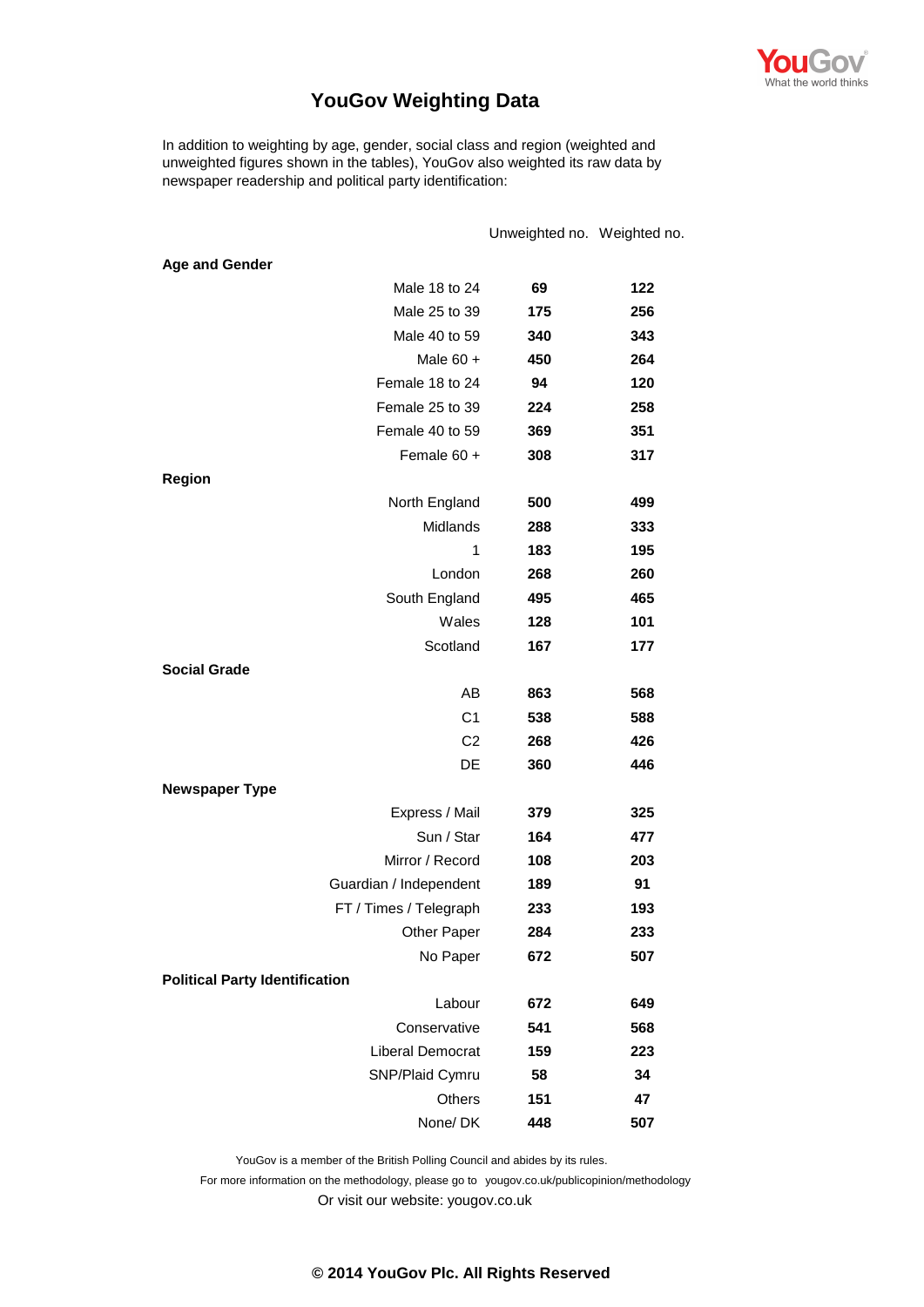|                                                                                                            |               | <b>Voting intention</b> |         |            |          | 2010 Vote     |      |            | Gender |                                       |            | Age |               |       | <b>Social Grade</b> |                   |        | Region           |                          |                  |                  |
|------------------------------------------------------------------------------------------------------------|---------------|-------------------------|---------|------------|----------|---------------|------|------------|--------|---------------------------------------|------------|-----|---------------|-------|---------------------|-------------------|--------|------------------|--------------------------|------------------|------------------|
|                                                                                                            | Total         | Con Lab                 |         | Lib<br>Dem | UKIP Con |               | Lab  | Lib<br>Dem |        | Male   Female   18-24   25-39   40-59 |            |     |               | $60+$ | ABC1                | C <sub>2</sub> DE | London | Rest of<br>South | <b>Midlands</b><br>Wales |                  | North Scotland   |
| <b>Weighted Sample</b>                                                                                     | 2029          |                         | 510 621 | 151        | 215 613  |               | 523  | 407        | 984    | 1045                                  | 241        | 513 | 694           | 580   | 1157                | 872               | 260    | 659              | 434                      | 499              | 177              |
| <b>Unweighted Sample</b>                                                                                   | 2029          |                         |         |            | 259      | 61            | 529  |            |        | 995                                   | 163        | 399 | 709           | 758   | 140                 | 628               | 268    | 678              | 416                      | 500              | 167              |
|                                                                                                            | $\frac{0}{0}$ | %                       | $\%$    | $\%$       | $\%$     | $\frac{0}{0}$ | $\%$ | $\%$       | %      | $\%$                                  | $\%$       | %   | $\frac{0}{0}$ | %     | $\%$                | %                 | %      | $\frac{0}{0}$    | %                        | $\%$             | %                |
| Thinking more generally about Russia today                                                                 |               |                         |         |            |          |               |      |            |        |                                       |            |     |               |       |                     |                   |        |                  |                          |                  |                  |
| Which of the following best reflects your view?                                                            |               |                         |         |            |          |               |      |            |        |                                       |            |     |               |       |                     |                   |        |                  |                          |                  |                  |
| Russia today has an aggressive foreign policy and is                                                       |               |                         |         |            |          |               |      |            |        |                                       |            |     |               |       |                     |                   |        |                  |                          |                  |                  |
| actively trying to control or take territory off neighbouring                                              |               |                         |         |            |          |               |      |            |        |                                       |            |     |               |       |                     |                   |        |                  |                          |                  |                  |
| countries                                                                                                  | 54            | 60                      |         | 64         | 47       | 59            | 55   | 57         | 53     | 54                                    | 56         | 53  | 53            | 55    | 57                  | 50                | 62     | 54               |                          | 54               | 54               |
| Russia today has no aggressive interest in its neighbours, it                                              |               |                         |         |            |          |               |      |            |        |                                       |            |     |               |       |                     |                   |        |                  |                          |                  |                  |
| is rightly trying to keep peace in troubled areas and protect                                              |               |                         |         |            |          |               |      |            |        |                                       |            |     |               |       |                     |                   |        |                  |                          |                  |                  |
| <b>Russion minorities</b>                                                                                  | 13            | 15                      |         |            | 23       |               |      |            | 16     | 10                                    | 10         | 11  | 13            | 17    | 14                  | 12                | 10     | 13               |                          | 15               | 18               |
| Neither                                                                                                    | 13            | 11                      | 13      | 12         | 11       | 12            | 11   | 13         | 14     | 11                                    | 9          | 12  | 14            | 13    | 13                  | 13                | 13     | 14               | 15                       | $\boldsymbol{9}$ | 11               |
| Don't know                                                                                                 | 21            | 14                      | 18      | 16         | 19       | 13            | 21   | 23         | 16     | 25                                    | 25         | 24  | 20            | 16    | 17                  | 26                | 15     | 19               | 26                       | 23               | 17               |
| Which of the following best reflects your view?                                                            |               |                         |         |            |          |               |      |            |        |                                       |            |     |               |       |                     |                   |        |                  |                          |                  |                  |
| Russia poses an economic threat to western countries<br>Russia does not pose an economic threat to western | 43            | 47                      | 47      | 41         | 42       | 47            | 44   | 45         | 46     | 40                                    | 33         | 39  | 45            | 47    | 42                  | 44                | 44     | 41               | 42                       | 46               | 41               |
| countries                                                                                                  | 24            | 27                      | 25      | 32         | 27       | 26            | 22   | 24         | 29     | 19                                    | 26         | 24  | 24            | 23    | 29                  | 18                | 28     | 25               | 21                       | 21               | 27               |
| Neither                                                                                                    | 11            | 8                       | 11      | 13         | 9        | 9             | 12   | 10         | 10     | 11                                    | 12         | 10  | 10            | 12    | 11                  | 11                | 12     | 11               | 12                       | $\overline{9}$   | $\boldsymbol{9}$ |
| Don't know                                                                                                 | 23            | 17                      | 17      | 15         | 22       | 18            | 22   | 22         | 14     | 30                                    | 30         | 27  | 21            | 18    | 19                  | 27                | 16     | 23               | 24                       | 24               | 23               |
| Which of the following best reflects your view?                                                            |               |                         |         |            |          |               |      |            |        |                                       |            |     |               |       |                     |                   |        |                  |                          |                  |                  |
| Russia poses a military threat to western countries                                                        | 45            | 42                      | 51      | 48         | 44       | 44            | 47   | 43         | 46     | 43                                    | 50         | 49  | 44            | 38    | 46                  | 43                | 54     | 43               | 39                       | 46               |                  |
| Russia does not pose a military threat to western countries                                                | 26            | 34                      | 21      | 31         | 31       | 30            | 23   | 28         | 33     | 20                                    | 20         | 17  | 28            | 33    | 27                  | 24                | 23     | 28               | 25                       | 25               | 26               |
| Neither                                                                                                    | 9             | 9                       | 10      | 3          | 11       | 10            | 10   | 9          | 8      | 10                                    | $\sqrt{5}$ | 6   | 11            | 11    | 10                  | 8                 | 8      | $\boldsymbol{9}$ | 12                       | $\boldsymbol{7}$ | $\boldsymbol{9}$ |
| Don't know                                                                                                 | 20            | 15                      | 18      | 18         | 14       | 16            | 20   | 21         | 13     | 27                                    | 26         | 27  | 17            |       | 18                  | 24                | 15     | 20               | 24                       | 22               | 20               |
|                                                                                                            |               |                         |         |            |          |               |      |            |        |                                       |            |     |               |       |                     |                   |        |                  |                          |                  |                  |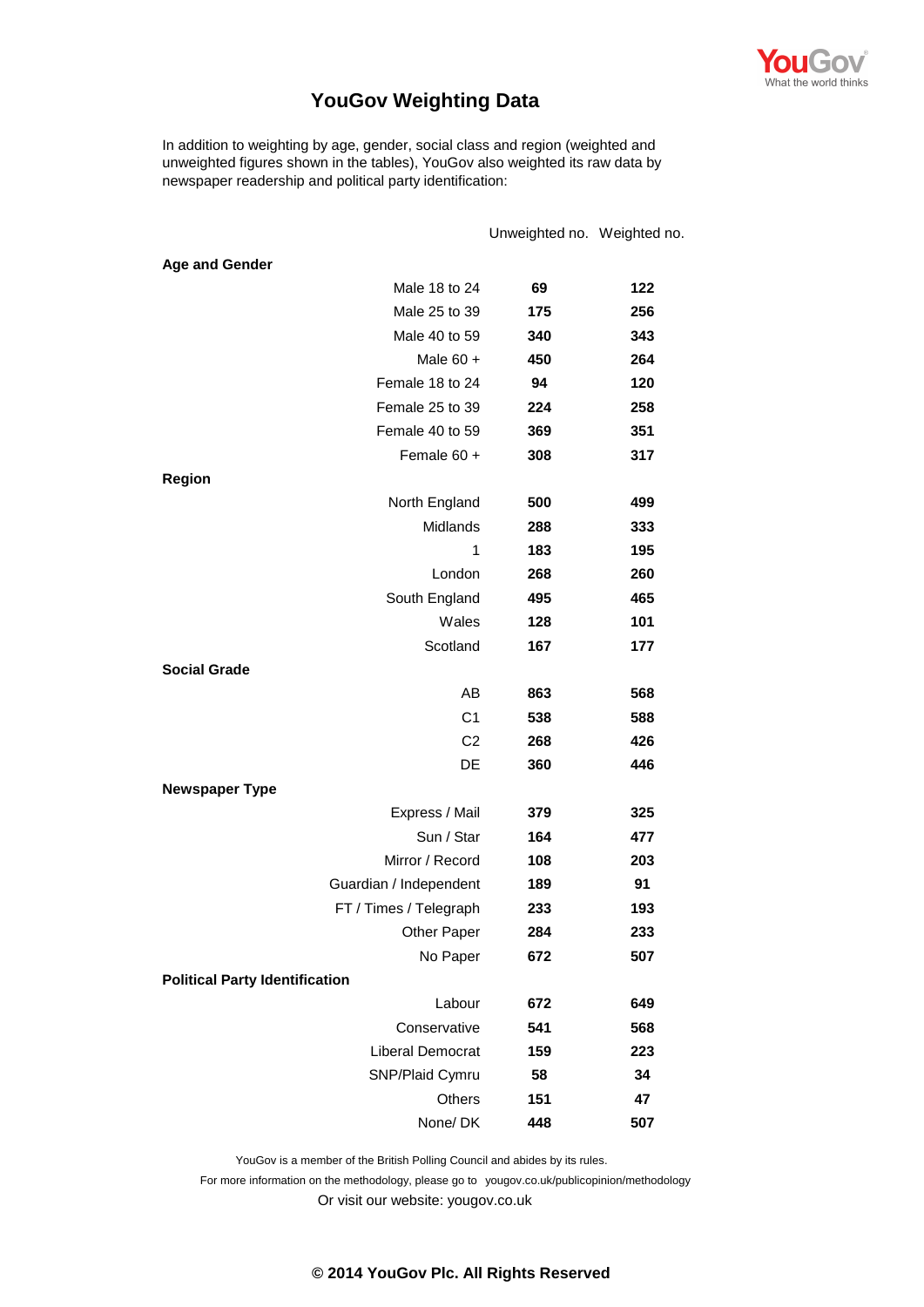| Midlands<br>Rest of<br>Lib<br>Lib<br>UKIP Con<br>Male Female<br>18-24 25-39 40-59<br>ABC1<br>C <sub>2</sub> DE<br>North<br>Lab<br>$60+$<br>Scotland<br><b>Total</b><br>Con Lab<br>London<br>Wales<br>Dem<br>South<br>Dem<br>984<br>241<br>513<br>694<br>580 1157<br>872<br>260<br>177<br><b>Weighted Sample</b><br>2029<br>510 621 151 215 613 523<br>407<br>1045<br>499<br>659<br>434<br><b>Unweighted Sample</b><br>2029<br>422<br>399<br>709<br>678<br>502<br>61<br>103<br>995<br>163<br>758<br>140'<br>628<br>268<br>416<br>500<br>167<br>529<br>%<br>%<br>%<br>$\frac{9}{6}$<br>%<br>%<br>$\%$<br>%<br>%<br>$\%$<br>%<br>$\frac{0}{0}$<br>%<br>$\frac{0}{0}$<br>%<br>%<br>%<br>%<br>%<br>$\%$<br>$\%$<br>A big threat<br>29<br>27<br>27<br>26<br>27<br>27<br>31<br>29<br>29<br>24<br>24<br>30<br>29<br>29<br>26<br>29<br>28<br>24<br>27<br>30<br>34<br>51<br>52<br>52<br>49<br>53<br>49<br>48<br>53<br>54<br>51<br>54<br>48<br>44<br>51<br>51<br>52<br>45<br>51<br>57<br>A significant threat<br>51<br>49<br>15<br>14<br>13<br>13<br>14<br>14<br>18<br>15<br>16<br>11<br>14<br>17<br>12<br>11<br>Not much of a threat<br>16<br>14<br>14<br>14<br>10<br>18<br>16<br>$\sqrt{2}$<br>$\overline{2}$<br>$\overline{2}$<br>$\overline{\mathbf{c}}$<br>No real threat at all<br>$\mathbf{2}$<br>2<br>3<br>$\sqrt{2}$<br>$\overline{2}$<br>$\overline{2}$<br>$\sqrt{2}$<br>$\overline{2}$<br>$\sqrt{2}$<br>4<br>$\mathbf{1}$<br>$\mathbf{1}$<br>$\mathbf{1}$<br>$\overline{2}$<br>$\overline{7}$<br>$\overline{4}$<br>5<br>$\overline{7}$<br>5<br>$\overline{2}$<br>$6\phantom{1}6$<br>6<br>6<br>3<br>$\overline{2}$<br>3<br>5<br>$\overline{1}$<br>6<br>6<br>4<br>6<br>14<br>10<br>Don't know<br>A big threat<br>29<br>32<br>32<br>28<br>35<br>31<br>31<br>29<br>31<br>34<br>29<br>32<br>30<br>26<br>27<br>30<br>30<br>25<br>32<br>25<br>35<br>53<br>53<br>53<br>54<br>53<br>52<br>56<br>52<br>50<br>50<br>50<br>51<br>52<br>49<br>55<br>53<br>54<br>52<br>43<br>51<br>53<br>A significant threat<br>10<br>13<br>12<br>13<br>12<br>12<br>11<br>13<br>11<br>10<br>9<br>15<br>8<br>Not much of a threat<br>17<br>10<br>10<br>13<br>13<br>10<br>11<br>16<br>$\overline{2}$<br>No real threat at all<br>$\overline{2}$<br>2<br>$\overline{2}$<br>$\sqrt{2}$<br>$\overline{2}$<br>$\overline{2}$<br>$\overline{2}$<br>2<br>$\boldsymbol{0}$<br>$\overline{2}$<br>$\mathbf{1}$<br>0<br>$\mathbf 1$<br>1<br>$\mathbf 1$<br>$\mathbf{1}$<br>-1<br>$\overline{2}$<br>6<br>$\overline{2}$<br>3<br>3<br>$6\phantom{1}6$<br>$\overline{7}$<br>5<br>5<br>6<br>6<br>3<br>$\overline{1}$<br>6<br>5<br>13<br>10<br>$\overline{4}$<br>$\overline{4}$<br>Don't know<br>1<br>$\boldsymbol{\Delta}$<br>A big threat<br>25<br>22<br>22<br>25<br>25<br>16<br>28<br>24<br>25<br>27<br>24<br>24<br>23<br>24<br>23<br>23<br>23<br>17<br>21<br>19<br>35<br>53<br>51<br>54<br>55<br>51<br>55<br>53<br>48<br>54<br>50<br>55<br>51<br>52<br>52<br>48<br>49<br>52<br>55<br>41<br>A significant threat<br>51<br>50<br>$20\,$<br>$16\,$<br>20<br>17<br>16<br>23<br>18<br>15<br>18<br>18<br>17<br>19<br>Not much of a threat<br>19<br>17<br>18<br>20<br>15<br>18<br>17<br>18<br>18<br>3<br>$\sqrt{2}$<br>$\overline{\mathbf{c}}$<br>$\overline{1}$<br>$\overline{c}$<br>$\overline{c}$<br>$\overline{2}$<br>$\overline{c}$<br>3<br>$\mathbf{1}$<br>$\overline{2}$<br>$\overline{2}$<br>No real threat at all<br>$\overline{2}$<br>$\sqrt{2}$<br>3<br>$\mathbf 0$<br>2<br>$\mathbf{1}$<br>$\overline{4}$<br>3<br>$\overline{2}$<br>3<br>5<br>$\overline{7}$<br>5<br>2<br>$\overline{4}$<br>3<br>6<br>$\overline{7}$<br>6<br>6<br>5<br>14<br>10<br>$\overline{4}$<br>6<br>6<br>$\overline{4}$<br>Don't know<br>The amount of alcohol people in Britain drink<br>A big threat<br>38<br>39<br>40<br>34<br>46<br>30<br>39<br>42<br>40<br>41<br>40<br>43<br>45<br>40<br>34<br>41<br>49<br>40<br>41<br>44<br>41<br>45<br>44<br>43<br>44<br>49<br>37<br>44<br>43<br>42<br>41<br>44<br>39<br>44<br>40<br>36<br>43<br>40<br>43<br>47<br>43<br>A significant threat<br>33<br>$\boldsymbol{9}$<br>9<br>Not much of a threat<br>13<br>18<br>15<br>$\overline{7}$<br>10<br>9<br>11<br>10<br>8<br>11<br>9<br>10<br>14<br>12<br>15<br>11<br>10<br>14<br>11<br>2<br>$\sqrt{2}$<br>$\overline{2}$<br>$\overline{c}$<br>No real threat at all<br>$\overline{a}$<br>$\overline{2}$<br>$\mathbf 0$<br>$\overline{2}$<br>$\overline{\mathbf{c}}$<br>$\overline{1}$<br>$\overline{4}$<br>$\mathbf{1}$<br>$\mathbf 1$<br>1<br>$\mathbf 1$<br>$\mathbf 1$<br>-1<br>5<br>$\overline{2}$<br>3<br>5<br>5<br>3<br>$\overline{2}$<br>$\overline{2}$<br>5<br>6<br>9<br>6<br>5<br>5<br>2<br>5<br>13<br>Don't know<br>4 |                                                          | <b>Voting intention</b> |  |  |  | <b>2010 Vote</b> |  | Gender | Age |  | <b>Social Grade</b> |  | Region |  |
|-----------------------------------------------------------------------------------------------------------------------------------------------------------------------------------------------------------------------------------------------------------------------------------------------------------------------------------------------------------------------------------------------------------------------------------------------------------------------------------------------------------------------------------------------------------------------------------------------------------------------------------------------------------------------------------------------------------------------------------------------------------------------------------------------------------------------------------------------------------------------------------------------------------------------------------------------------------------------------------------------------------------------------------------------------------------------------------------------------------------------------------------------------------------------------------------------------------------------------------------------------------------------------------------------------------------------------------------------------------------------------------------------------------------------------------------------------------------------------------------------------------------------------------------------------------------------------------------------------------------------------------------------------------------------------------------------------------------------------------------------------------------------------------------------------------------------------------------------------------------------------------------------------------------------------------------------------------------------------------------------------------------------------------------------------------------------------------------------------------------------------------------------------------------------------------------------------------------------------------------------------------------------------------------------------------------------------------------------------------------------------------------------------------------------------------------------------------------------------------------------------------------------------------------------------------------------------------------------------------------------------------------------------------------------------------------------------------------------------------------------------------------------------------------------------------------------------------------------------------------------------------------------------------------------------------------------------------------------------------------------------------------------------------------------------------------------------------------------------------------------------------------------------------------------------------------------------------------------------------------------------------------------------------------------------------------------------------------------------------------------------------------------------------------------------------------------------------------------------------------------------------------------------------------------------------------------------------------------------------------------------------------------------------------------------------------------------------------------------------------------------------------------------------------------------------------------------------------------------------------------------------------------------------------------------------------------------------------------------------------------------------------------------------------------------------------------------------------------------------------------------------------------------------------------------------------------------------------------------------------------------------------------------------------------------------------------------------------------------------------------------------------------------------------------------------------------------------------------------------------------------------------------------------------------------------------------------------------------------------------------------------------------------|----------------------------------------------------------|-------------------------|--|--|--|------------------|--|--------|-----|--|---------------------|--|--------|--|
|                                                                                                                                                                                                                                                                                                                                                                                                                                                                                                                                                                                                                                                                                                                                                                                                                                                                                                                                                                                                                                                                                                                                                                                                                                                                                                                                                                                                                                                                                                                                                                                                                                                                                                                                                                                                                                                                                                                                                                                                                                                                                                                                                                                                                                                                                                                                                                                                                                                                                                                                                                                                                                                                                                                                                                                                                                                                                                                                                                                                                                                                                                                                                                                                                                                                                                                                                                                                                                                                                                                                                                                                                                                                                                                                                                                                                                                                                                                                                                                                                                                                                                                                                                                                                                                                                                                                                                                                                                                                                                                                                                                                                                                     |                                                          |                         |  |  |  |                  |  |        |     |  |                     |  |        |  |
|                                                                                                                                                                                                                                                                                                                                                                                                                                                                                                                                                                                                                                                                                                                                                                                                                                                                                                                                                                                                                                                                                                                                                                                                                                                                                                                                                                                                                                                                                                                                                                                                                                                                                                                                                                                                                                                                                                                                                                                                                                                                                                                                                                                                                                                                                                                                                                                                                                                                                                                                                                                                                                                                                                                                                                                                                                                                                                                                                                                                                                                                                                                                                                                                                                                                                                                                                                                                                                                                                                                                                                                                                                                                                                                                                                                                                                                                                                                                                                                                                                                                                                                                                                                                                                                                                                                                                                                                                                                                                                                                                                                                                                                     |                                                          |                         |  |  |  |                  |  |        |     |  |                     |  |        |  |
|                                                                                                                                                                                                                                                                                                                                                                                                                                                                                                                                                                                                                                                                                                                                                                                                                                                                                                                                                                                                                                                                                                                                                                                                                                                                                                                                                                                                                                                                                                                                                                                                                                                                                                                                                                                                                                                                                                                                                                                                                                                                                                                                                                                                                                                                                                                                                                                                                                                                                                                                                                                                                                                                                                                                                                                                                                                                                                                                                                                                                                                                                                                                                                                                                                                                                                                                                                                                                                                                                                                                                                                                                                                                                                                                                                                                                                                                                                                                                                                                                                                                                                                                                                                                                                                                                                                                                                                                                                                                                                                                                                                                                                                     |                                                          |                         |  |  |  |                  |  |        |     |  |                     |  |        |  |
|                                                                                                                                                                                                                                                                                                                                                                                                                                                                                                                                                                                                                                                                                                                                                                                                                                                                                                                                                                                                                                                                                                                                                                                                                                                                                                                                                                                                                                                                                                                                                                                                                                                                                                                                                                                                                                                                                                                                                                                                                                                                                                                                                                                                                                                                                                                                                                                                                                                                                                                                                                                                                                                                                                                                                                                                                                                                                                                                                                                                                                                                                                                                                                                                                                                                                                                                                                                                                                                                                                                                                                                                                                                                                                                                                                                                                                                                                                                                                                                                                                                                                                                                                                                                                                                                                                                                                                                                                                                                                                                                                                                                                                                     |                                                          |                         |  |  |  |                  |  |        |     |  |                     |  |        |  |
|                                                                                                                                                                                                                                                                                                                                                                                                                                                                                                                                                                                                                                                                                                                                                                                                                                                                                                                                                                                                                                                                                                                                                                                                                                                                                                                                                                                                                                                                                                                                                                                                                                                                                                                                                                                                                                                                                                                                                                                                                                                                                                                                                                                                                                                                                                                                                                                                                                                                                                                                                                                                                                                                                                                                                                                                                                                                                                                                                                                                                                                                                                                                                                                                                                                                                                                                                                                                                                                                                                                                                                                                                                                                                                                                                                                                                                                                                                                                                                                                                                                                                                                                                                                                                                                                                                                                                                                                                                                                                                                                                                                                                                                     | How much of a threat, if any, do you think the following |                         |  |  |  |                  |  |        |     |  |                     |  |        |  |
|                                                                                                                                                                                                                                                                                                                                                                                                                                                                                                                                                                                                                                                                                                                                                                                                                                                                                                                                                                                                                                                                                                                                                                                                                                                                                                                                                                                                                                                                                                                                                                                                                                                                                                                                                                                                                                                                                                                                                                                                                                                                                                                                                                                                                                                                                                                                                                                                                                                                                                                                                                                                                                                                                                                                                                                                                                                                                                                                                                                                                                                                                                                                                                                                                                                                                                                                                                                                                                                                                                                                                                                                                                                                                                                                                                                                                                                                                                                                                                                                                                                                                                                                                                                                                                                                                                                                                                                                                                                                                                                                                                                                                                                     | are to the health of people in Britain?                  |                         |  |  |  |                  |  |        |     |  |                     |  |        |  |
|                                                                                                                                                                                                                                                                                                                                                                                                                                                                                                                                                                                                                                                                                                                                                                                                                                                                                                                                                                                                                                                                                                                                                                                                                                                                                                                                                                                                                                                                                                                                                                                                                                                                                                                                                                                                                                                                                                                                                                                                                                                                                                                                                                                                                                                                                                                                                                                                                                                                                                                                                                                                                                                                                                                                                                                                                                                                                                                                                                                                                                                                                                                                                                                                                                                                                                                                                                                                                                                                                                                                                                                                                                                                                                                                                                                                                                                                                                                                                                                                                                                                                                                                                                                                                                                                                                                                                                                                                                                                                                                                                                                                                                                     | The amount of sugar people in Britain eat                |                         |  |  |  |                  |  |        |     |  |                     |  |        |  |
|                                                                                                                                                                                                                                                                                                                                                                                                                                                                                                                                                                                                                                                                                                                                                                                                                                                                                                                                                                                                                                                                                                                                                                                                                                                                                                                                                                                                                                                                                                                                                                                                                                                                                                                                                                                                                                                                                                                                                                                                                                                                                                                                                                                                                                                                                                                                                                                                                                                                                                                                                                                                                                                                                                                                                                                                                                                                                                                                                                                                                                                                                                                                                                                                                                                                                                                                                                                                                                                                                                                                                                                                                                                                                                                                                                                                                                                                                                                                                                                                                                                                                                                                                                                                                                                                                                                                                                                                                                                                                                                                                                                                                                                     |                                                          |                         |  |  |  |                  |  |        |     |  |                     |  |        |  |
|                                                                                                                                                                                                                                                                                                                                                                                                                                                                                                                                                                                                                                                                                                                                                                                                                                                                                                                                                                                                                                                                                                                                                                                                                                                                                                                                                                                                                                                                                                                                                                                                                                                                                                                                                                                                                                                                                                                                                                                                                                                                                                                                                                                                                                                                                                                                                                                                                                                                                                                                                                                                                                                                                                                                                                                                                                                                                                                                                                                                                                                                                                                                                                                                                                                                                                                                                                                                                                                                                                                                                                                                                                                                                                                                                                                                                                                                                                                                                                                                                                                                                                                                                                                                                                                                                                                                                                                                                                                                                                                                                                                                                                                     |                                                          |                         |  |  |  |                  |  |        |     |  |                     |  |        |  |
|                                                                                                                                                                                                                                                                                                                                                                                                                                                                                                                                                                                                                                                                                                                                                                                                                                                                                                                                                                                                                                                                                                                                                                                                                                                                                                                                                                                                                                                                                                                                                                                                                                                                                                                                                                                                                                                                                                                                                                                                                                                                                                                                                                                                                                                                                                                                                                                                                                                                                                                                                                                                                                                                                                                                                                                                                                                                                                                                                                                                                                                                                                                                                                                                                                                                                                                                                                                                                                                                                                                                                                                                                                                                                                                                                                                                                                                                                                                                                                                                                                                                                                                                                                                                                                                                                                                                                                                                                                                                                                                                                                                                                                                     |                                                          |                         |  |  |  |                  |  |        |     |  |                     |  |        |  |
|                                                                                                                                                                                                                                                                                                                                                                                                                                                                                                                                                                                                                                                                                                                                                                                                                                                                                                                                                                                                                                                                                                                                                                                                                                                                                                                                                                                                                                                                                                                                                                                                                                                                                                                                                                                                                                                                                                                                                                                                                                                                                                                                                                                                                                                                                                                                                                                                                                                                                                                                                                                                                                                                                                                                                                                                                                                                                                                                                                                                                                                                                                                                                                                                                                                                                                                                                                                                                                                                                                                                                                                                                                                                                                                                                                                                                                                                                                                                                                                                                                                                                                                                                                                                                                                                                                                                                                                                                                                                                                                                                                                                                                                     |                                                          |                         |  |  |  |                  |  |        |     |  |                     |  |        |  |
|                                                                                                                                                                                                                                                                                                                                                                                                                                                                                                                                                                                                                                                                                                                                                                                                                                                                                                                                                                                                                                                                                                                                                                                                                                                                                                                                                                                                                                                                                                                                                                                                                                                                                                                                                                                                                                                                                                                                                                                                                                                                                                                                                                                                                                                                                                                                                                                                                                                                                                                                                                                                                                                                                                                                                                                                                                                                                                                                                                                                                                                                                                                                                                                                                                                                                                                                                                                                                                                                                                                                                                                                                                                                                                                                                                                                                                                                                                                                                                                                                                                                                                                                                                                                                                                                                                                                                                                                                                                                                                                                                                                                                                                     |                                                          |                         |  |  |  |                  |  |        |     |  |                     |  |        |  |
|                                                                                                                                                                                                                                                                                                                                                                                                                                                                                                                                                                                                                                                                                                                                                                                                                                                                                                                                                                                                                                                                                                                                                                                                                                                                                                                                                                                                                                                                                                                                                                                                                                                                                                                                                                                                                                                                                                                                                                                                                                                                                                                                                                                                                                                                                                                                                                                                                                                                                                                                                                                                                                                                                                                                                                                                                                                                                                                                                                                                                                                                                                                                                                                                                                                                                                                                                                                                                                                                                                                                                                                                                                                                                                                                                                                                                                                                                                                                                                                                                                                                                                                                                                                                                                                                                                                                                                                                                                                                                                                                                                                                                                                     | The amount of fat people in Britain eat                  |                         |  |  |  |                  |  |        |     |  |                     |  |        |  |
|                                                                                                                                                                                                                                                                                                                                                                                                                                                                                                                                                                                                                                                                                                                                                                                                                                                                                                                                                                                                                                                                                                                                                                                                                                                                                                                                                                                                                                                                                                                                                                                                                                                                                                                                                                                                                                                                                                                                                                                                                                                                                                                                                                                                                                                                                                                                                                                                                                                                                                                                                                                                                                                                                                                                                                                                                                                                                                                                                                                                                                                                                                                                                                                                                                                                                                                                                                                                                                                                                                                                                                                                                                                                                                                                                                                                                                                                                                                                                                                                                                                                                                                                                                                                                                                                                                                                                                                                                                                                                                                                                                                                                                                     |                                                          |                         |  |  |  |                  |  |        |     |  |                     |  |        |  |
|                                                                                                                                                                                                                                                                                                                                                                                                                                                                                                                                                                                                                                                                                                                                                                                                                                                                                                                                                                                                                                                                                                                                                                                                                                                                                                                                                                                                                                                                                                                                                                                                                                                                                                                                                                                                                                                                                                                                                                                                                                                                                                                                                                                                                                                                                                                                                                                                                                                                                                                                                                                                                                                                                                                                                                                                                                                                                                                                                                                                                                                                                                                                                                                                                                                                                                                                                                                                                                                                                                                                                                                                                                                                                                                                                                                                                                                                                                                                                                                                                                                                                                                                                                                                                                                                                                                                                                                                                                                                                                                                                                                                                                                     |                                                          |                         |  |  |  |                  |  |        |     |  |                     |  |        |  |
|                                                                                                                                                                                                                                                                                                                                                                                                                                                                                                                                                                                                                                                                                                                                                                                                                                                                                                                                                                                                                                                                                                                                                                                                                                                                                                                                                                                                                                                                                                                                                                                                                                                                                                                                                                                                                                                                                                                                                                                                                                                                                                                                                                                                                                                                                                                                                                                                                                                                                                                                                                                                                                                                                                                                                                                                                                                                                                                                                                                                                                                                                                                                                                                                                                                                                                                                                                                                                                                                                                                                                                                                                                                                                                                                                                                                                                                                                                                                                                                                                                                                                                                                                                                                                                                                                                                                                                                                                                                                                                                                                                                                                                                     |                                                          |                         |  |  |  |                  |  |        |     |  |                     |  |        |  |
|                                                                                                                                                                                                                                                                                                                                                                                                                                                                                                                                                                                                                                                                                                                                                                                                                                                                                                                                                                                                                                                                                                                                                                                                                                                                                                                                                                                                                                                                                                                                                                                                                                                                                                                                                                                                                                                                                                                                                                                                                                                                                                                                                                                                                                                                                                                                                                                                                                                                                                                                                                                                                                                                                                                                                                                                                                                                                                                                                                                                                                                                                                                                                                                                                                                                                                                                                                                                                                                                                                                                                                                                                                                                                                                                                                                                                                                                                                                                                                                                                                                                                                                                                                                                                                                                                                                                                                                                                                                                                                                                                                                                                                                     |                                                          |                         |  |  |  |                  |  |        |     |  |                     |  |        |  |
|                                                                                                                                                                                                                                                                                                                                                                                                                                                                                                                                                                                                                                                                                                                                                                                                                                                                                                                                                                                                                                                                                                                                                                                                                                                                                                                                                                                                                                                                                                                                                                                                                                                                                                                                                                                                                                                                                                                                                                                                                                                                                                                                                                                                                                                                                                                                                                                                                                                                                                                                                                                                                                                                                                                                                                                                                                                                                                                                                                                                                                                                                                                                                                                                                                                                                                                                                                                                                                                                                                                                                                                                                                                                                                                                                                                                                                                                                                                                                                                                                                                                                                                                                                                                                                                                                                                                                                                                                                                                                                                                                                                                                                                     |                                                          |                         |  |  |  |                  |  |        |     |  |                     |  |        |  |
|                                                                                                                                                                                                                                                                                                                                                                                                                                                                                                                                                                                                                                                                                                                                                                                                                                                                                                                                                                                                                                                                                                                                                                                                                                                                                                                                                                                                                                                                                                                                                                                                                                                                                                                                                                                                                                                                                                                                                                                                                                                                                                                                                                                                                                                                                                                                                                                                                                                                                                                                                                                                                                                                                                                                                                                                                                                                                                                                                                                                                                                                                                                                                                                                                                                                                                                                                                                                                                                                                                                                                                                                                                                                                                                                                                                                                                                                                                                                                                                                                                                                                                                                                                                                                                                                                                                                                                                                                                                                                                                                                                                                                                                     | The amount of salt people in Britain eat                 |                         |  |  |  |                  |  |        |     |  |                     |  |        |  |
|                                                                                                                                                                                                                                                                                                                                                                                                                                                                                                                                                                                                                                                                                                                                                                                                                                                                                                                                                                                                                                                                                                                                                                                                                                                                                                                                                                                                                                                                                                                                                                                                                                                                                                                                                                                                                                                                                                                                                                                                                                                                                                                                                                                                                                                                                                                                                                                                                                                                                                                                                                                                                                                                                                                                                                                                                                                                                                                                                                                                                                                                                                                                                                                                                                                                                                                                                                                                                                                                                                                                                                                                                                                                                                                                                                                                                                                                                                                                                                                                                                                                                                                                                                                                                                                                                                                                                                                                                                                                                                                                                                                                                                                     |                                                          |                         |  |  |  |                  |  |        |     |  |                     |  |        |  |
|                                                                                                                                                                                                                                                                                                                                                                                                                                                                                                                                                                                                                                                                                                                                                                                                                                                                                                                                                                                                                                                                                                                                                                                                                                                                                                                                                                                                                                                                                                                                                                                                                                                                                                                                                                                                                                                                                                                                                                                                                                                                                                                                                                                                                                                                                                                                                                                                                                                                                                                                                                                                                                                                                                                                                                                                                                                                                                                                                                                                                                                                                                                                                                                                                                                                                                                                                                                                                                                                                                                                                                                                                                                                                                                                                                                                                                                                                                                                                                                                                                                                                                                                                                                                                                                                                                                                                                                                                                                                                                                                                                                                                                                     |                                                          |                         |  |  |  |                  |  |        |     |  |                     |  |        |  |
|                                                                                                                                                                                                                                                                                                                                                                                                                                                                                                                                                                                                                                                                                                                                                                                                                                                                                                                                                                                                                                                                                                                                                                                                                                                                                                                                                                                                                                                                                                                                                                                                                                                                                                                                                                                                                                                                                                                                                                                                                                                                                                                                                                                                                                                                                                                                                                                                                                                                                                                                                                                                                                                                                                                                                                                                                                                                                                                                                                                                                                                                                                                                                                                                                                                                                                                                                                                                                                                                                                                                                                                                                                                                                                                                                                                                                                                                                                                                                                                                                                                                                                                                                                                                                                                                                                                                                                                                                                                                                                                                                                                                                                                     |                                                          |                         |  |  |  |                  |  |        |     |  |                     |  |        |  |
|                                                                                                                                                                                                                                                                                                                                                                                                                                                                                                                                                                                                                                                                                                                                                                                                                                                                                                                                                                                                                                                                                                                                                                                                                                                                                                                                                                                                                                                                                                                                                                                                                                                                                                                                                                                                                                                                                                                                                                                                                                                                                                                                                                                                                                                                                                                                                                                                                                                                                                                                                                                                                                                                                                                                                                                                                                                                                                                                                                                                                                                                                                                                                                                                                                                                                                                                                                                                                                                                                                                                                                                                                                                                                                                                                                                                                                                                                                                                                                                                                                                                                                                                                                                                                                                                                                                                                                                                                                                                                                                                                                                                                                                     |                                                          |                         |  |  |  |                  |  |        |     |  |                     |  |        |  |
|                                                                                                                                                                                                                                                                                                                                                                                                                                                                                                                                                                                                                                                                                                                                                                                                                                                                                                                                                                                                                                                                                                                                                                                                                                                                                                                                                                                                                                                                                                                                                                                                                                                                                                                                                                                                                                                                                                                                                                                                                                                                                                                                                                                                                                                                                                                                                                                                                                                                                                                                                                                                                                                                                                                                                                                                                                                                                                                                                                                                                                                                                                                                                                                                                                                                                                                                                                                                                                                                                                                                                                                                                                                                                                                                                                                                                                                                                                                                                                                                                                                                                                                                                                                                                                                                                                                                                                                                                                                                                                                                                                                                                                                     |                                                          |                         |  |  |  |                  |  |        |     |  |                     |  |        |  |
|                                                                                                                                                                                                                                                                                                                                                                                                                                                                                                                                                                                                                                                                                                                                                                                                                                                                                                                                                                                                                                                                                                                                                                                                                                                                                                                                                                                                                                                                                                                                                                                                                                                                                                                                                                                                                                                                                                                                                                                                                                                                                                                                                                                                                                                                                                                                                                                                                                                                                                                                                                                                                                                                                                                                                                                                                                                                                                                                                                                                                                                                                                                                                                                                                                                                                                                                                                                                                                                                                                                                                                                                                                                                                                                                                                                                                                                                                                                                                                                                                                                                                                                                                                                                                                                                                                                                                                                                                                                                                                                                                                                                                                                     |                                                          |                         |  |  |  |                  |  |        |     |  |                     |  |        |  |
|                                                                                                                                                                                                                                                                                                                                                                                                                                                                                                                                                                                                                                                                                                                                                                                                                                                                                                                                                                                                                                                                                                                                                                                                                                                                                                                                                                                                                                                                                                                                                                                                                                                                                                                                                                                                                                                                                                                                                                                                                                                                                                                                                                                                                                                                                                                                                                                                                                                                                                                                                                                                                                                                                                                                                                                                                                                                                                                                                                                                                                                                                                                                                                                                                                                                                                                                                                                                                                                                                                                                                                                                                                                                                                                                                                                                                                                                                                                                                                                                                                                                                                                                                                                                                                                                                                                                                                                                                                                                                                                                                                                                                                                     |                                                          |                         |  |  |  |                  |  |        |     |  |                     |  |        |  |
|                                                                                                                                                                                                                                                                                                                                                                                                                                                                                                                                                                                                                                                                                                                                                                                                                                                                                                                                                                                                                                                                                                                                                                                                                                                                                                                                                                                                                                                                                                                                                                                                                                                                                                                                                                                                                                                                                                                                                                                                                                                                                                                                                                                                                                                                                                                                                                                                                                                                                                                                                                                                                                                                                                                                                                                                                                                                                                                                                                                                                                                                                                                                                                                                                                                                                                                                                                                                                                                                                                                                                                                                                                                                                                                                                                                                                                                                                                                                                                                                                                                                                                                                                                                                                                                                                                                                                                                                                                                                                                                                                                                                                                                     |                                                          |                         |  |  |  |                  |  |        |     |  |                     |  |        |  |
|                                                                                                                                                                                                                                                                                                                                                                                                                                                                                                                                                                                                                                                                                                                                                                                                                                                                                                                                                                                                                                                                                                                                                                                                                                                                                                                                                                                                                                                                                                                                                                                                                                                                                                                                                                                                                                                                                                                                                                                                                                                                                                                                                                                                                                                                                                                                                                                                                                                                                                                                                                                                                                                                                                                                                                                                                                                                                                                                                                                                                                                                                                                                                                                                                                                                                                                                                                                                                                                                                                                                                                                                                                                                                                                                                                                                                                                                                                                                                                                                                                                                                                                                                                                                                                                                                                                                                                                                                                                                                                                                                                                                                                                     |                                                          |                         |  |  |  |                  |  |        |     |  |                     |  |        |  |
|                                                                                                                                                                                                                                                                                                                                                                                                                                                                                                                                                                                                                                                                                                                                                                                                                                                                                                                                                                                                                                                                                                                                                                                                                                                                                                                                                                                                                                                                                                                                                                                                                                                                                                                                                                                                                                                                                                                                                                                                                                                                                                                                                                                                                                                                                                                                                                                                                                                                                                                                                                                                                                                                                                                                                                                                                                                                                                                                                                                                                                                                                                                                                                                                                                                                                                                                                                                                                                                                                                                                                                                                                                                                                                                                                                                                                                                                                                                                                                                                                                                                                                                                                                                                                                                                                                                                                                                                                                                                                                                                                                                                                                                     |                                                          |                         |  |  |  |                  |  |        |     |  |                     |  |        |  |
|                                                                                                                                                                                                                                                                                                                                                                                                                                                                                                                                                                                                                                                                                                                                                                                                                                                                                                                                                                                                                                                                                                                                                                                                                                                                                                                                                                                                                                                                                                                                                                                                                                                                                                                                                                                                                                                                                                                                                                                                                                                                                                                                                                                                                                                                                                                                                                                                                                                                                                                                                                                                                                                                                                                                                                                                                                                                                                                                                                                                                                                                                                                                                                                                                                                                                                                                                                                                                                                                                                                                                                                                                                                                                                                                                                                                                                                                                                                                                                                                                                                                                                                                                                                                                                                                                                                                                                                                                                                                                                                                                                                                                                                     |                                                          |                         |  |  |  |                  |  |        |     |  |                     |  |        |  |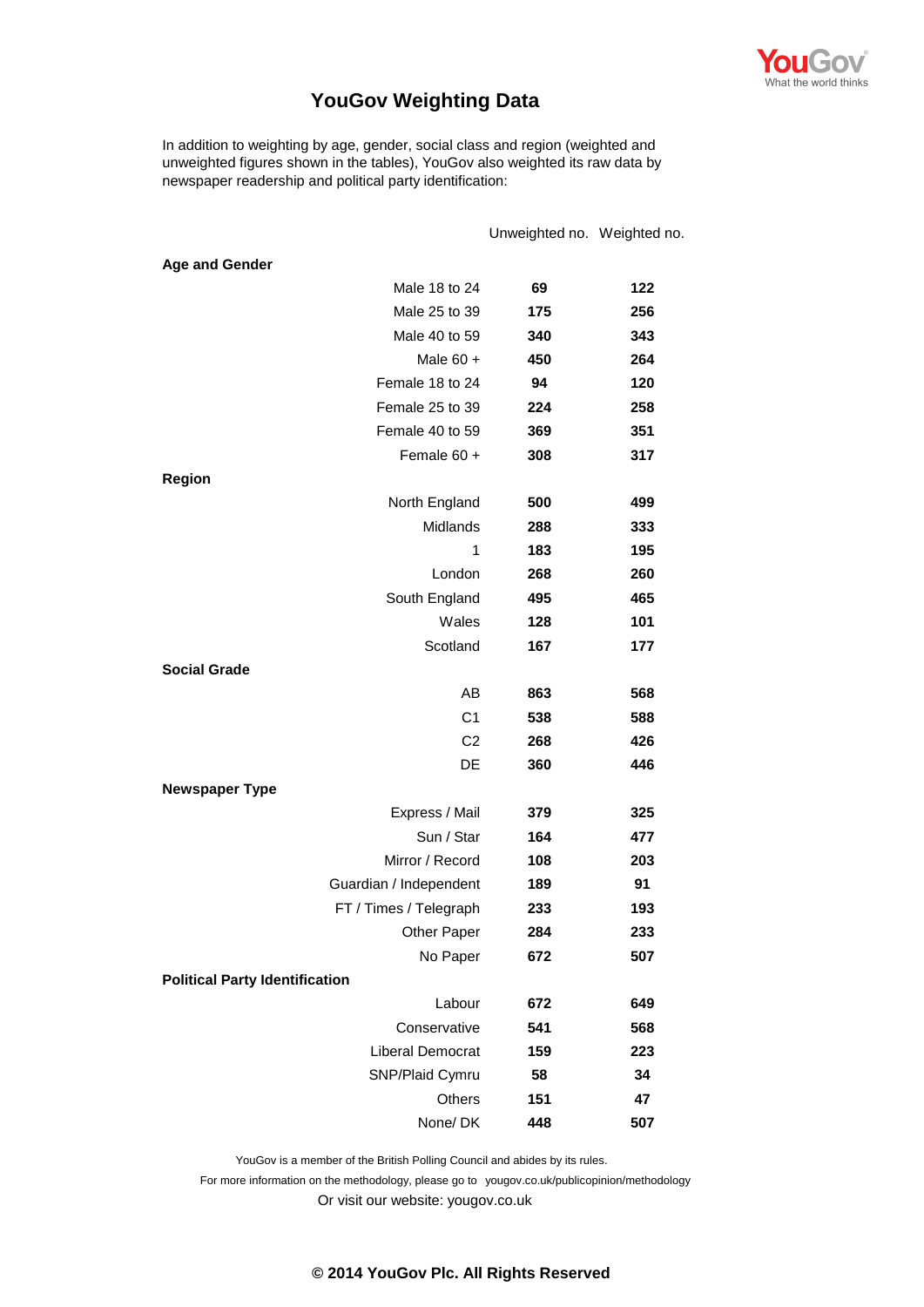|                                                                                    |                |                | <b>Voting intention</b> |                         |                | <b>2010 Vote</b> |                     |                | Gender         |                | Age             |                         |                |                | <b>Social Grade</b> |                |                         | Region                   |                |                         |
|------------------------------------------------------------------------------------|----------------|----------------|-------------------------|-------------------------|----------------|------------------|---------------------|----------------|----------------|----------------|-----------------|-------------------------|----------------|----------------|---------------------|----------------|-------------------------|--------------------------|----------------|-------------------------|
| Total                                                                              | Con            | Lab            | Lib<br>Dem              |                         | UKIP Con       | Lab              | Lib<br>Dem          | Male           | Female 18-24   |                | 25-39 40-59     |                         | $60+$          | ABC1           | C2DE                | London         | <b>Rest of</b><br>South | Midlands<br>Wales        | <b>North</b>   | Scotland                |
| <b>Weighted Sample</b><br>2029                                                     |                | 510 621        | 151                     | 215 613 523             |                |                  | 407                 | 984            | 1045           | 241            | 513             | 694                     | 580            | 1157           | 872                 | 260            | 659                     | 434                      | 499            | 177                     |
| <b>Unweighted Sample</b><br>2029                                                   |                | 61             |                         | 259                     | 61             |                  | 422                 | 03             | 995            | 163            | 399             | 709                     | 758            | 401            | 628                 | 268            | 678                     | 416                      | 500            | 167                     |
| ℅                                                                                  | %              | %              | $\%$                    | $\%$                    | %              | %                | %                   | $\frac{0}{6}$  | $\%$           | %              | $\%$            | %                       | %              | %              | %                   | $\%$           | %                       | %                        | %              | %                       |
| Thinking about your own diet, how much do you worry                                |                |                |                         |                         |                |                  |                     |                |                |                |                 |                         |                |                |                     |                |                         |                          |                |                         |
| about the amount of each of the following you eat or                               |                |                |                         |                         |                |                  |                     |                |                |                |                 |                         |                |                |                     |                |                         |                          |                |                         |
| drink?                                                                             |                |                |                         |                         |                |                  |                     |                |                |                |                 |                         |                |                |                     |                |                         |                          |                |                         |
| The amount of sugar you eat                                                        |                |                |                         |                         |                |                  |                     |                |                |                |                 |                         |                |                |                     |                |                         |                          |                |                         |
| Worry a lot<br>6                                                                   | 4              | 8              | 11                      | 7                       | 5              | 6                | 6                   | 6              | $\overline{7}$ | 9              | 8               | 6                       | 5              | 6              | 7                   | 10             | 6                       | 5                        | 6              | $\overline{7}$          |
| 28<br>Worry a fair amount                                                          | 28             | 30             | 32                      | 22                      | 26             | 31               | 29                  | 24             | 33             | 39             | 32              | 27                      | 23             | 29             | 27                  | 32             | 32                      | 28                       | 23             | 23                      |
| Do not worry very much<br>41                                                       | 46             | 43             | 45                      | 38                      | 43             | 43               | 43                  | 42             | 41             | 32             | 39              | 43                      | 45             | 42             | 40                  | 37             | 40                      | 36                       | 46             | 50                      |
| 20<br>Do not worry at all                                                          | 21             | 18             | 11                      | $30\,$                  | 25             | 18               | 18                  | 24             | 17             | 9              | 14              | 23                      | 28             | 20             | 21                  | 17             | 18                      | 28                       | 21             | 17                      |
| 4<br>Don't know                                                                    | $\mathbf{1}$   | $\overline{1}$ | $\overline{2}$          | 3                       | $\overline{1}$ | $\overline{2}$   | $\overline{4}$      | 5              | 3              | 11             | $\overline{7}$  | $\mathbf{1}$            | $\mathbf{1}$   | 3              | 5                   | 5              | 3                       | 3                        | 4              | 3                       |
| The amount of fat you eat                                                          |                |                |                         |                         |                |                  |                     |                |                |                |                 |                         |                |                |                     |                |                         |                          |                |                         |
| Worry a lot<br>7                                                                   | 6              | 8              | 9                       | 8                       | 6              | 6                | 6                   | 6              | $\overline{7}$ | 8              | 9               | 5                       | 6              | $\overline{7}$ | $\overline{7}$      | 10             | $\overline{7}$          | 5                        | 6              | 6                       |
| Worry a fair amount<br>32                                                          | 28             | 39             | 28                      | 23                      | 25             | 42               | 30                  | 29             | 34             | 34             | 35              | 33                      | 26             | 32             | 31                  | 32             | 31                      | 29                       | 32             | 36                      |
| Do not worry very much<br>41                                                       | 48             | 39             | 53                      | 39                      | 48             | 36               | 48                  | 41             | 41             | 29             | 38              | 44                      | 46             | 42             | 40                  | 39             | 43                      | 39                       | 42             | 41                      |
| 17<br>Do not worry at all                                                          | 17             | 14             | 9                       | 27                      | 20             | 14               | 12                  | 19             | 15             | 17             | 11              | 17                      | 22             | 17             | 17                  | 15             | 15                      | 23                       | 16             | 15                      |
| Don't know<br>4                                                                    | $\mathbf{1}$   | $\mathbf{1}$   | $\overline{2}$          | 3                       | $\mathbf{1}$   | $\overline{2}$   | $\overline{4}$      | $\overline{5}$ | 3              | 11             | $\overline{7}$  | $\mathbf{1}$            | $\mathbf{1}$   | 3              | 5                   | 5              | 3                       | 3                        | 4              | 3                       |
| The amount of salt you eat                                                         |                |                |                         |                         |                |                  |                     |                |                |                |                 |                         |                |                |                     |                |                         |                          |                |                         |
| Worry a lot<br>5                                                                   | 3              | 5              | 4                       | 8                       | 3              | 5                | 3                   | 4              | 5              | 6              | 6               | 4                       | 4              | 4              | 5                   | 6              | 6                       | 3                        | 4              | 6                       |
| Worry a fair amount<br>20                                                          | 21             | 23             | 18                      | 17                      | 19             | 24               | 18                  | 20             | 20             | 22             | 20              | 19                      | 21             | 21             | 19                  | 21             | 22                      | 18                       | 20             | 19                      |
| Do not worry very much<br>43                                                       | 49             | 45             | 49                      | 40                      | 48             | 43               | 44                  | 44             | 42             | 36             | 45              | 45                      | 42             | 44             | 42                  | 47             | 43                      | 40                       | 45             | 40                      |
| 29<br>Do not worry at all                                                          | 25             | 26             | 27                      | 32                      | 29             | 26               | 31                  | 27             | 30             | 25             | 23              | 30                      | 32             | 28             | 29                  | 22             | 26                      | 36                       | 28             | 32                      |
| Don't know<br>3                                                                    | $\overline{1}$ | $\mathbf{1}$   | $\overline{2}$          | 3                       | $\mathbf{1}$   | $\overline{2}$   | $\overline{4}$      | $\overline{4}$ | 3              | 11             | 6               | $\mathbf{1}$            | $\mathsf 0$    | 3              | 5                   | $\overline{4}$ | 3                       | 3                        | $\overline{4}$ | 3                       |
| Jan                                                                                |                |                |                         |                         |                |                  |                     |                |                |                |                 |                         |                |                |                     |                |                         |                          |                |                         |
| Mar<br>$16 - 17$<br>$6 - 7$                                                        |                |                |                         |                         |                |                  |                     |                |                |                |                 |                         |                |                |                     |                |                         |                          |                |                         |
| On average, how many fizzy drinks containing sugar do                              |                |                |                         |                         |                |                  |                     |                |                |                |                 |                         |                |                |                     |                |                         |                          |                |                         |
| you have a week?                                                                   |                |                |                         |                         |                |                  |                     |                |                |                |                 |                         |                |                |                     |                |                         |                          |                |                         |
| 57<br>None at all<br>54                                                            | 64             | 51             | 60                      | 59                      | 64             | 55               | 63                  | 52             | 62             | 30             | 44              | 63                      | 73             | 60             | 53                  | 49             | 60                      | 55                       | 60             | 54                      |
| 21<br>One a week<br>20                                                             | 20             | 22             | 18                      | 20                      | 20             | 19               | 18                  | 22             | 19             | 29             | 25              | 18                      | 16             | 20             | 21                  | 25             | 21                      | 22                       | 18             | 17                      |
| Two or three a week<br>12<br>16                                                    | 11             | 14             | 15                      | 11                      | 9              | 15               | 12                  | 12             | 12             | 17             | 15              | 11                      | 9              | 11             | 13                  | 14             | 10                      | 11                       | 13             | 15                      |
| 5<br>$\sqrt{5}$<br>One a day                                                       | 3              | 8              | $\overline{4}$          | 4                       | $\overline{4}$ | 6                | $\mathbf{3}$        | 6              | 4              | 8              | 9               | 4                       | $\mathbf{1}$   | $\sqrt{5}$     | 5                   | 3              | 5                       | 6                        | $\sqrt{5}$     | 3                       |
| Two or three a day<br>3<br>$\mathbf{2}$                                            | $\mathbf{1}$   | $\overline{2}$ | $\mathbf{1}$            | $\overline{2}$          | $\mathbf{1}$   | 3                | $\mathbf{1}$        | 2              | $\overline{1}$ | $\overline{4}$ | 3               | $\overline{1}$          | $\mathbf 0$    | $\mathbf{1}$   | 2                   | 3              | $\overline{1}$          | $\overline{2}$           | $\overline{2}$ | $\overline{\mathbf{4}}$ |
| More than three a day<br>$\mathbf{1}$<br>$\mathbf{1}$                              | $\mathsf 0$    | $\overline{2}$ | 3                       | $\mathbf 0$             | $\mathbf 0$    | $\overline{2}$   | $\mathsf{O}\xspace$ | $\overline{2}$ | 0              | $\mathbf{1}$   | $\overline{2}$  | $\mathbf{1}$            | $\mathsf 0$    | $\mathbf{1}$   | $\mathbf{1}$        | $\sqrt{2}$     | $\mathbf 0$             | $\overline{1}$           | 0              | 5                       |
| 2<br>3<br>Not sure                                                                 | $\mathbf 0$    | $\overline{1}$ | $\mathbf 0$             | 3                       | $\overline{1}$ | $\overline{2}$   | 3                   | $\overline{4}$ | $\overline{2}$ | 13             | 3               | $\mathbf{1}$            | $\mathsf 0$    | 2              | 5                   | 5              | $\boldsymbol{\Delta}$   | 3                        | $\overline{2}$ | $\Omega$                |
|                                                                                    |                |                |                         |                         |                |                  |                     |                |                |                |                 |                         |                |                |                     |                |                         |                          |                |                         |
| How much of a health risk, if any, do you think having a<br>diet high in sugar is? |                |                |                         |                         |                |                  |                     |                |                |                |                 |                         |                |                |                     |                |                         |                          |                |                         |
| A severe health risk<br>39                                                         | 41             | 39             | 38                      | 35                      | 40             | 39               | 40                  | 35             | 42             | 26             | 32              | 43                      | 44             | 40             | 37                  | 39             | 38                      | 37                       | 37             | 48                      |
| 47<br>A modest health risk                                                         | 51             | 47             | 49                      | 48                      | 51             | 46               | 49                  | 47             | 48             | 47             | 50              | 47                      | 45             | 46             | 48                  | 40             | 50                      | 45                       | 52             | 39                      |
| Only a minor health risk<br>9                                                      | $\overline{7}$ | 10             | 11                      | 11                      | $\overline{7}$ | 13               | $\overline{7}$      | 11             | $\overline{7}$ | 14             | 10              | 6                       | 9              | 10             | $\overline{7}$      | 13             | 6                       | 12                       | $\overline{7}$ | 11                      |
| No real health risk at all<br>$\mathbf{1}$                                         | $\overline{1}$ | $\mathbf{1}$   | $\mathbf 0$             | $\overline{\mathbf{c}}$ | $\overline{1}$ | $\mathbf{1}$     | $\mathbf{1}$        | $\mathbf{1}$   | $\mathbf{1}$   | $\mathbf{1}$   | 2               | $\mathbf{1}$            | $\overline{1}$ | $\mathbf{1}$   | $\overline{2}$      | $\mathbf{1}$   | $\overline{1}$          | $\overline{1}$           | $\mathbf{1}$   | $\mathbf{1}$            |
| Don't know<br>4                                                                    | $\mathbf 0$    | 3              | 3                       | 3                       | $\mathbf{1}$   | $\overline{2}$   | $\overline{4}$      | 6              | 2              | 12             | $6\phantom{1}6$ | $\overline{\mathbf{c}}$ | $\mathbf{1}$   | 3              | 6                   | $\overline{7}$ | $\overline{4}$          | $\overline{\mathcal{A}}$ | 3              | $\mathbf 1$             |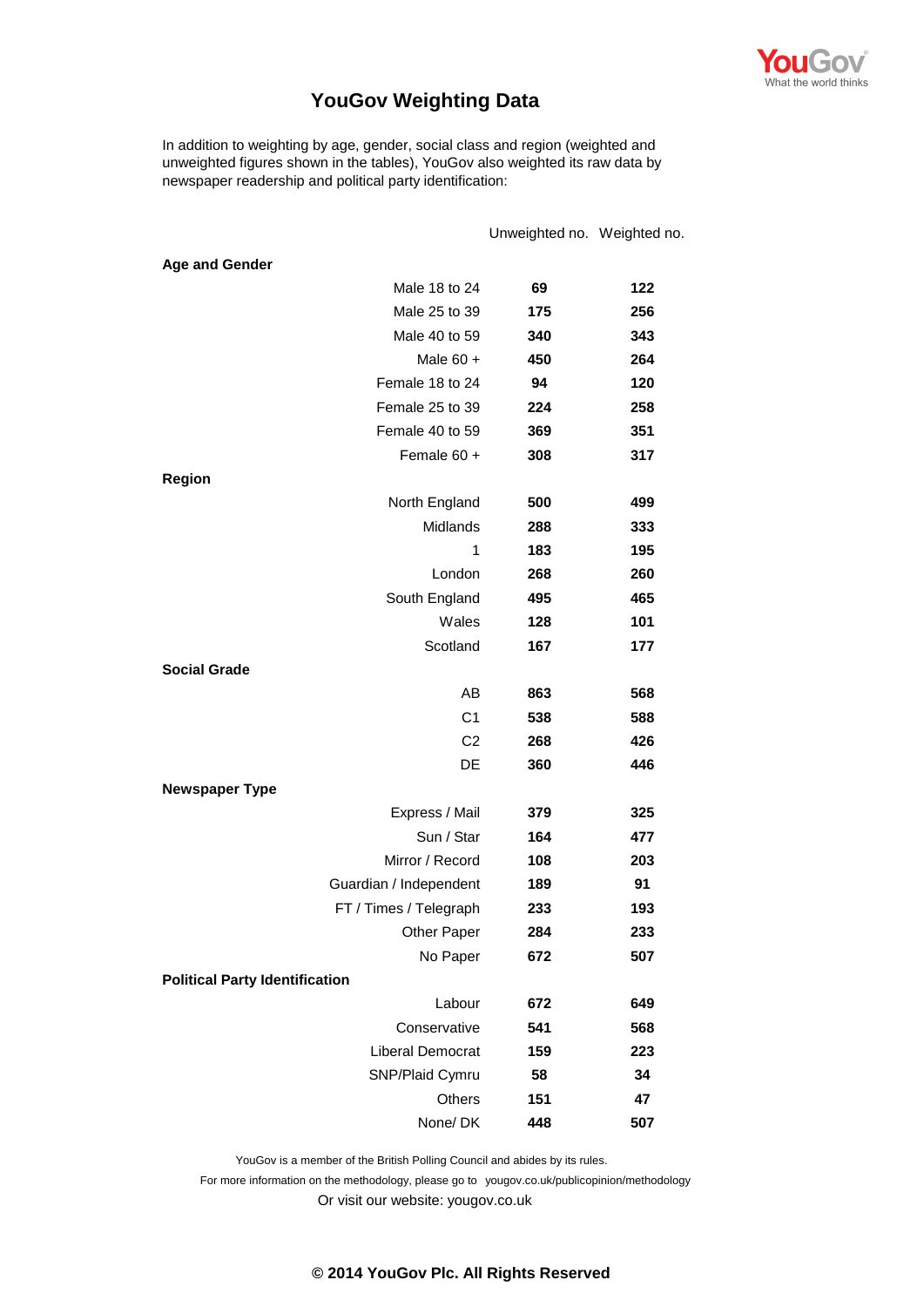|                                                                                                                                                                                        |                |                   |                  | <b>Voting intention</b> |                                  |                  | 2010 Vote      |                |                | Gender         |                | Age                       |                                  |              |                         | <b>Social Grade</b> |                      |                      | Region                          |                           |                                             |
|----------------------------------------------------------------------------------------------------------------------------------------------------------------------------------------|----------------|-------------------|------------------|-------------------------|----------------------------------|------------------|----------------|----------------|----------------|----------------|----------------|---------------------------|----------------------------------|--------------|-------------------------|---------------------|----------------------|----------------------|---------------------------------|---------------------------|---------------------------------------------|
|                                                                                                                                                                                        | Total          |                   | Con   Lab        | Lib<br>Dem              | UKIP Con                         |                  | Lab            | Lib<br>Dem     |                | Male Female    |                | 18-24 25-39 40-59         |                                  | $60+$        | ABC1                    | C2DE                | London               | Rest of<br>South     | <b>Midlands</b><br><b>Wales</b> | North                     | Scotland                                    |
| <b>Weighted Sample</b>                                                                                                                                                                 | 2029           |                   | 510 621          | 151                     |                                  | 215 613 523      |                | 407            | 984            | 1045           | 241            | 513                       | 694                              | 580          | 1157                    | 872                 | 260                  | 659                  | 434                             | 499                       | 177                                         |
| <b>Unweighted Sample</b>                                                                                                                                                               | 2029           | 502               | 61               |                         |                                  |                  | 529            | 422            | 103            | 995            | 163            | 399                       | 709                              | 758          | 140'                    | 628                 | 268                  | 678                  | 416                             | 50C                       | 167                                         |
|                                                                                                                                                                                        | %              | %                 | %                | %                       | %                                | %                | $\frac{0}{0}$  | $\frac{0}{0}$  | %              | %              | $\frac{0}{0}$  | %                         | %                                | %            | $\frac{0}{2}$           | %                   | $\%$                 | %                    | %                               | %                         | %                                           |
| Thinking about your own diet, which of the following                                                                                                                                   |                |                   |                  |                         |                                  |                  |                |                |                |                |                |                           |                                  |              |                         |                     |                      |                      |                                 |                           |                                             |
| best reflects your view?                                                                                                                                                               |                |                   |                  |                         |                                  |                  |                |                |                |                |                |                           |                                  |              |                         |                     |                      |                      |                                 |                           |                                             |
| I probably eat too much sugar and am trying to cut down                                                                                                                                | 21             | 19                | 24               | 22                      | 20                               | 19               | 22             | 22             | 17             | 25             | 26             | 26                        | 22                               | 15           | 20                      | 22                  | 23                   | 22                   | 22                              | 18                        | 26                                          |
| I probably eat too much sugar, but it is not something I                                                                                                                               |                |                   |                  |                         |                                  |                  |                |                |                |                |                |                           |                                  |              |                         |                     |                      |                      |                                 |                           |                                             |
| worry too much about                                                                                                                                                                   | 21             | 16                | 22               | 29                      | 23                               | 17               | 21             | 25             | 22             | 20             | 35             | 22                        | 21                               | 15           | 22                      | 20                  | 18                   | 19                   | 22                              | 25                        | 21                                          |
| I think I probably eat about the right amount of sugar                                                                                                                                 | 49             | 59                | 48               | 45                      | 48                               | 59               | 48             | 47             | 50             | 48             | 26             | 43                        | 50                               | 62           | 51                      | 46                  | 48                   | 51                   | $47\,$                          | 50                        | $\begin{array}{c} 42 \\ 9 \\ 3 \end{array}$ |
| None of these                                                                                                                                                                          | 5              | $\mathbf{3}$      | $\,$ 5 $\,$      | $\overline{2}$          | 6                                | $\sqrt{5}$       | $\overline{7}$ | 3              | $\,$ 5 $\,$    | $\sqrt{5}$     | $\overline{c}$ | $\overline{4}$            | $\mathbf 5$                      | 8            | $\overline{\mathbf{4}}$ | $\overline{7}$      | $\overline{a}$       | $\overline{4}$       | 8                               | $\overline{\mathbf{4}}$   |                                             |
| Don't know                                                                                                                                                                             | 3              | $\mathsf 3$       | $\mathbf{1}$     | $\overline{2}$          | 3                                | $\mathbf{1}$     | $\overline{2}$ | 4              | $\,$ 5 $\,$    | $\overline{2}$ | 12             | 5                         | $\overline{2}$                   | $\mathbf{1}$ | $\mathsf 3$             | $\overline{4}$      | $\,6\,$              | $\overline{4}$       | $\overline{2}$                  | $\ensuremath{\mathsf{3}}$ |                                             |
| And if you have children under the age of 18, which of<br>the following best reflects your view?<br>They probably eat too much sugar and I am trying to cut                            |                |                   |                  |                         |                                  |                  |                |                |                |                |                |                           |                                  |              |                         |                     |                      |                      |                                 |                           |                                             |
| down                                                                                                                                                                                   | 8              | $\overline{7}$    | 11               | 5                       | 10 <sup>°</sup>                  | 9                | 9              | 5              | 8              | 8              | $\mathbf{2}$   | 10                        | 12                               | 3            | $\overline{7}$          | 9                   | $\overline{7}$       | 8                    | 9                               | $\overline{7}$            | $\overline{7}$                              |
| They probably eat too much sugar, but it is not something I                                                                                                                            |                |                   |                  |                         |                                  |                  |                |                |                |                |                |                           |                                  |              |                         |                     |                      |                      |                                 |                           |                                             |
| worry too much about                                                                                                                                                                   | 5              | 4                 | 6                | 6                       | $\overline{2}$                   | 3                | $\overline{7}$ | 4              | $\overline{7}$ | 4              | 4              | $\overline{7}$            | 8                                | 1            | 6                       | $\overline{4}$      | 8                    | 3                    | 6                               | $\sqrt{5}$                | 4                                           |
| They probably eat about the right amount of sugar                                                                                                                                      | 15             | 12                | 18               | 22                      | 9                                | 13               | 17             | 15             | 13             | 17             | 9              | 31                        | 16                               | 3            | 14                      | 17                  | 17                   | 15                   | 16                              | 13                        | 16                                          |
| None of these                                                                                                                                                                          | $\bf{2}$       | $\mathbf{1}$      | $\overline{c}$   | 3                       | $\overline{\mathbf{c}}$          | 0                | $\mathbf 2$    | $\mathbf 2$    | $\sqrt{2}$     | $\mathbf{1}$   | $\mathbf{1}$   | $\ensuremath{\mathsf{3}}$ | $\boldsymbol{2}$                 | $\mathbf{1}$ | $\mathbf{1}$            | $\sqrt{2}$          | 3                    | $\mathbf{1}$         | 3                               | $\sqrt{2}$                | $\mathbf 1$                                 |
| Don't know                                                                                                                                                                             | $\overline{2}$ | $\mathbf{1}$      | $\mathbf{1}$     | $\mathbf{1}$            | $\overline{2}$                   | $\mathbf{1}$     | $\overline{2}$ | $\overline{2}$ | $\overline{2}$ | $\mathbf{1}$   | 3              | 3                         | $\overline{2}$                   | $\mathbf 0$  | $\mathbf{1}$            | 3                   | 3                    | $\overline{2}$       | $\overline{2}$                  | $\sqrt{2}$                | $\pmb{0}$                                   |
| Not applicable - I do not have any children under the age of                                                                                                                           |                |                   |                  |                         |                                  |                  |                |                |                |                |                |                           |                                  |              |                         |                     |                      |                      |                                 |                           |                                             |
| 18                                                                                                                                                                                     | 69             | 76                | 63               | 64                      | 76                               | 74               | 63             | 70             | 68             | 69             | 81             | 46                        | 61                               | 92           | 71                      | 65                  | 62                   | 72                   | 64                              | 70                        | 71                                          |
| And if you have children under the age of 18, which of<br>the following best reflects your view?<br>[Only respondents who have children under the age of 18;<br>$n = 543$ <sup>*</sup> |                |                   |                  |                         |                                  |                  |                |                |                |                |                |                           |                                  |              |                         |                     |                      |                      |                                 |                           |                                             |
| They probably eat too much sugar and I am trying to it cut                                                                                                                             |                |                   |                  |                         |                                  |                  |                |                |                |                |                |                           |                                  |              |                         |                     |                      |                      |                                 |                           |                                             |
| down                                                                                                                                                                                   | 25             | 27                | 28               | 13                      | 40                               | 33               | 24             | 18             | 24             | 25             | 12             | 18                        | 32                               | 33           | 24                      | 26                  | 19                   | 30                   | 24                              | 22                        | 25                                          |
| They probably eat too much sugar, but it is not something I                                                                                                                            |                |                   |                  |                         |                                  |                  |                |                |                |                |                |                           |                                  |              |                         |                     |                      |                      |                                 |                           |                                             |
| worry too much about                                                                                                                                                                   | 16             | 15                | 17               | 15                      | 7                                | 11               | 19             | 15             | 21             | 11             | 21             | 13                        | 19                               | 13           | 20                      | 12                  | 20                   | 11                   | 17                              | 19                        | 15                                          |
| They probably eat about the right amount of sugar<br>None of these                                                                                                                     | 48<br>5        | 49<br>$\,$ 5 $\,$ | 48<br>$\sqrt{5}$ | 60                      | 39                               | 52               | 47<br>5        | 51<br>8        | 41<br>$\,6\,$  | 55<br>5        | 46<br>6        | 58                        | 41                               | 35           | 49                      | 48<br>$\,6\,$       | 46<br>$\overline{7}$ | 52<br>$\overline{2}$ | 46<br>8                         | 46<br>$\overline{7}$      | 57                                          |
| Don't know                                                                                                                                                                             | 6              | $\overline{4}$    | $\overline{2}$   | 9<br>3                  | $\overline{7}$<br>$\overline{7}$ | $\mathbf 2$<br>3 | $\overline{4}$ | 8              | 8              | $\overline{4}$ | 15             | $\,$ 5 $\,$<br>6          | $\overline{4}$<br>$\overline{4}$ | 13<br>6      | $\sqrt{5}$<br>3         | 9                   | 9                    | 5                    | 6                               | $6\phantom{1}6$           | $\frac{2}{2}$                               |
|                                                                                                                                                                                        |                |                   |                  |                         |                                  |                  |                |                |                |                |                |                           |                                  |              |                         |                     |                      |                      |                                 |                           |                                             |
| Jan<br>$16 - 17$<br>Would you support or oppose introducing a new tax on<br>products containing a high amount of sugar, such as<br>fizzy drinks?                                       | Mar<br>$6 - 7$ |                   |                  |                         |                                  |                  |                |                |                |                |                |                           |                                  |              |                         |                     |                      |                      |                                 |                           |                                             |
| 38<br>Support                                                                                                                                                                          | 41             | 48                | 42               | 51                      | 31                               | 42               | 40             | 47             | 40             | 42             | 30             | 36                        | 42                               | 49           | 44                      | 37                  | 40                   | 44                   | 41                              | 38                        | 36                                          |
| 49<br>Oppose                                                                                                                                                                           | 46             | 43                | 49               | 31                      | 63                               | 50               | 49             | 36             | 49             | 43             | 49             | 48                        | 48                               | 41           | 44                      | 48                  | 43                   | 45                   | 47                              | 48                        | 50                                          |
| Don't know<br>13                                                                                                                                                                       | 13             | 8                 | 10               | 18                      | 6                                | 9                | 11             | 16             | 11             | 15             | 21             | 16                        | 10                               | 11           | 11                      | 15                  | 17                   | 11                   | 12                              | 14                        | 15                                          |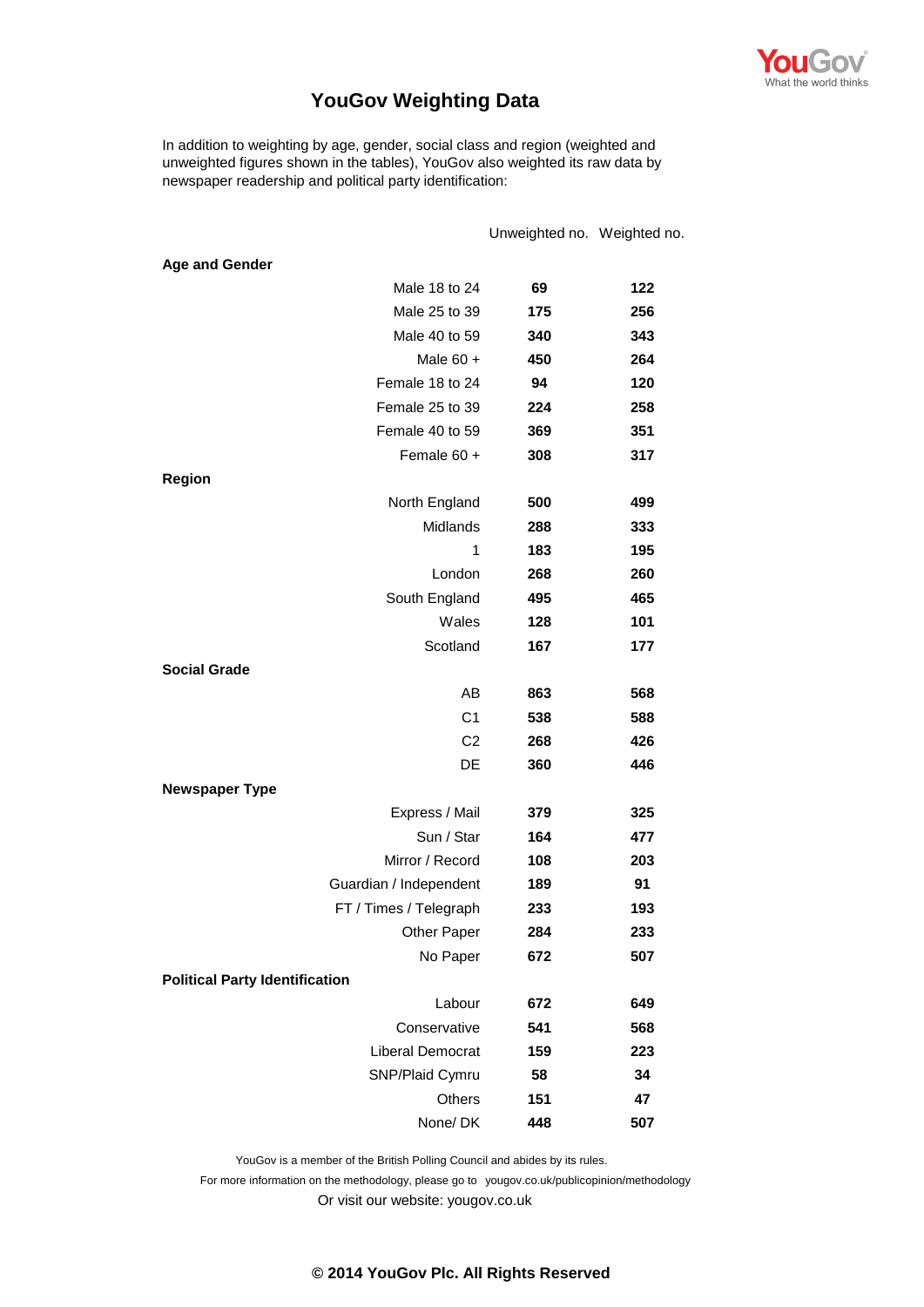|                                                                                                                                                                                                                                                                                               | <b>Voting intention</b> |                |                |                         |                     |                         | <b>2010 Vote</b> |            |                | Gender         |     |                   | Age            |                |      | <b>Social Grade</b> | Region |                         |                          |                  |                |
|-----------------------------------------------------------------------------------------------------------------------------------------------------------------------------------------------------------------------------------------------------------------------------------------------|-------------------------|----------------|----------------|-------------------------|---------------------|-------------------------|------------------|------------|----------------|----------------|-----|-------------------|----------------|----------------|------|---------------------|--------|-------------------------|--------------------------|------------------|----------------|
|                                                                                                                                                                                                                                                                                               | Total                   | Con Lab        |                | Lib<br>Dem              | <b>UKIP</b>         | <b>Con</b>              | Lab              | Lib<br>Dem | Male           | Female         |     | 18-24 25-39 40-59 |                | $60+$          | ABC1 | C2DE                | London | <b>Rest of</b><br>South | <b>Midlands</b><br>Wales | <b>North</b>     | Scotland       |
| Weighted Sample 2029                                                                                                                                                                                                                                                                          |                         |                |                |                         | 510 621 151 215 613 |                         | 523              | 407        | 984            | 1045           | 241 | 513               | 694            | 580 1157       |      | 872                 | 260    | 659                     | 434                      | 499              | 177            |
| <b>Unweighted Sample</b>                                                                                                                                                                                                                                                                      | 2029                    | 502            | 611            | 129                     | 259                 | 614                     | 529              | 422        | $103-$         | 995            | 163 | 399               | 709            | 758            | 1401 | 628                 | 268    | 678                     | 416                      | 500              | 167            |
|                                                                                                                                                                                                                                                                                               | $\frac{1}{2}$           | %              | $\%$           | $\%$                    | %                   | %                       | %                | $\%$       | %              | %              | %   | $\%$              | $\%$           | $\%$           | $\%$ | %                   | %      | $\%$                    | %                        | %                | $\frac{9}{6}$  |
| How high do you think a tax on high sugar products<br>should be?<br>[Only asked to those respondents who would support<br>introducing a new tax on products containing a high amount                                                                                                          |                         |                |                |                         |                     |                         |                  |            |                |                |     |                   |                |                |      |                     |        |                         |                          |                  |                |
| of sugar, such as fizzy drinks; n=915]                                                                                                                                                                                                                                                        |                         |                |                |                         |                     |                         |                  |            |                |                |     |                   |                |                |      |                     |        |                         |                          |                  |                |
| 5% of the pre-tax price of the item                                                                                                                                                                                                                                                           | 29                      | 24             | 36             | 28                      | 24                  | 23                      | 31               | 30         | 23             | 35             | 45  | 36                | 26             | 23             | 27   | 32                  | 22     | 29                      | 25                       | 36               | 35             |
| 10% of the pre-tax price                                                                                                                                                                                                                                                                      | 27                      | 32             | 23             | 26                      | 35                  | 35                      | 29               | 21         | 30             | 24             | 19  | 23                | 27             | 31             | 29   | 23                  | 21     | 26                      | 35                       | 19               | 42             |
| 20% of the pre-tax price                                                                                                                                                                                                                                                                      | 20                      | 23             | $16\,$         | $30\,$                  | $12$                | $22\,$                  | 12               | 26         | 24             | 16             | 6   | 16                | 24             | 22             | 20   | 20                  | 30     | 18                      | 23                       | 16               | 14             |
| 50% of the pre-tax price                                                                                                                                                                                                                                                                      | 6                       | $\overline{7}$ | $\,6\,$        | $\,6\,$                 | 5                   | $\boldsymbol{7}$        | $\mathbf 5$      | $\,6\,$    | 5              | $\overline{7}$ | 3   | $\,6\,$           | $\overline{5}$ | $\overline{7}$ | 6    | 6                   | 6      | $\overline{7}$          | $\overline{\mathbf{c}}$  | 8                | $\, 6$         |
| 100% of the pre-tax price                                                                                                                                                                                                                                                                     | 5                       | 3              | $\overline{5}$ | $\overline{\mathbf{4}}$ | 8                   | $\overline{\mathbf{4}}$ | $\sqrt{5}$       | 5          | $\overline{5}$ | $\overline{4}$ | 6   | 6                 | 5              | $\overline{4}$ | 5    | 5                   | 8      | 5                       | $\mathbf{3}$             | 6                | $\mathbf{1}$   |
| Don't know                                                                                                                                                                                                                                                                                    | 13                      | 11             | 15             | 6                       | 16                  | 9                       | 18               | 12         | 12             | 14             | 20  | 13                | 13             | 13             | 13   | 14                  | 13     | 16                      | 12                       | 15               | $\overline{2}$ |
| Would you support or oppose introducing new<br>regulations limiting the amount of sugar that is allowed<br>in food?                                                                                                                                                                           |                         |                |                |                         |                     |                         |                  |            |                |                |     |                   |                |                |      |                     |        |                         |                          |                  |                |
| Support                                                                                                                                                                                                                                                                                       | 66                      | 71             | 69             | 65                      | 65                  | 70                      | 70               | 69         | 62             | 70             | 46  | 61                | 71             | 73             | 67   | 65                  | 66     | 68                      | 62                       | 68               | 65             |
| Oppose                                                                                                                                                                                                                                                                                        | 21                      | 21             | 21             | 19                      | 26                  | 23                      | 20               | $18\,$     | 24             | 18             | 27  | 23                | 19             | 19             | 23   | 19                  | 19     | 20                      | 22                       | 22               | 20             |
| Don't know                                                                                                                                                                                                                                                                                    | 13                      | $\overline{7}$ | 10             | 16                      | 10                  | $\overline{7}$          | 10               | 13         | 14             | 12             | 27  | 16                | 10             | 8              | 11   | 16                  | 14     | 12                      | 16                       | 10 <sup>10</sup> | 15             |
| The World Health Organisation recommended that<br>people get no more than 10% of their calories each day<br>from sugar, with a target of 5% (this includes sugar<br>added to drinks and cereals, but also sugar in items<br>like cakes, biscuits and fizzy drinks, and in processed<br>meals) |                         |                |                |                         |                     |                         |                  |            |                |                |     |                   |                |                |      |                     |        |                         |                          |                  |                |
| Do you think this limit sounds too high, too low, or<br>about right?                                                                                                                                                                                                                          |                         |                |                |                         |                     |                         |                  |            |                |                |     |                   |                |                |      |                     |        |                         |                          |                  |                |
| Too high                                                                                                                                                                                                                                                                                      | 8                       | $\overline{7}$ | 10             | 11                      | 5                   | 7                       | 9                | 4          | 9              | $\overline{7}$ | 5   | 9                 | 8              | 8              | 9    | 6                   | 9      | 6                       | 9                        | $\overline{7}$   | 12             |
| Too low                                                                                                                                                                                                                                                                                       | 12                      | 12             | 12             | 8                       | 18                  | 14                      | 12               | 9          | 11             | 12             | 16  | 12                | 11             | 10             | 11   | 13                  | 11     | 13                      | 12                       | 11               | 10             |
| About right                                                                                                                                                                                                                                                                                   | 54                      | 60             | 55             | 55                      | 45                  | 57                      | 53               | 57         | 50             | 57             | 48  | 46                | 54             | 62             | 56   | 50                  | 55     | 54                      | 53                       | 53               | 52             |
| Don't know                                                                                                                                                                                                                                                                                    | 27                      | 21             | 23             | 26                      | 32                  | 22                      | 26               | $30\,$     | 29             | 25             | 31  | 32                | 27             | 20             | 24   | 31                  | 25     | 27                      | 26                       | 29               | 27             |
|                                                                                                                                                                                                                                                                                               |                         |                |                |                         |                     |                         |                  |            |                |                |     |                   |                |                |      |                     |        |                         |                          |                  |                |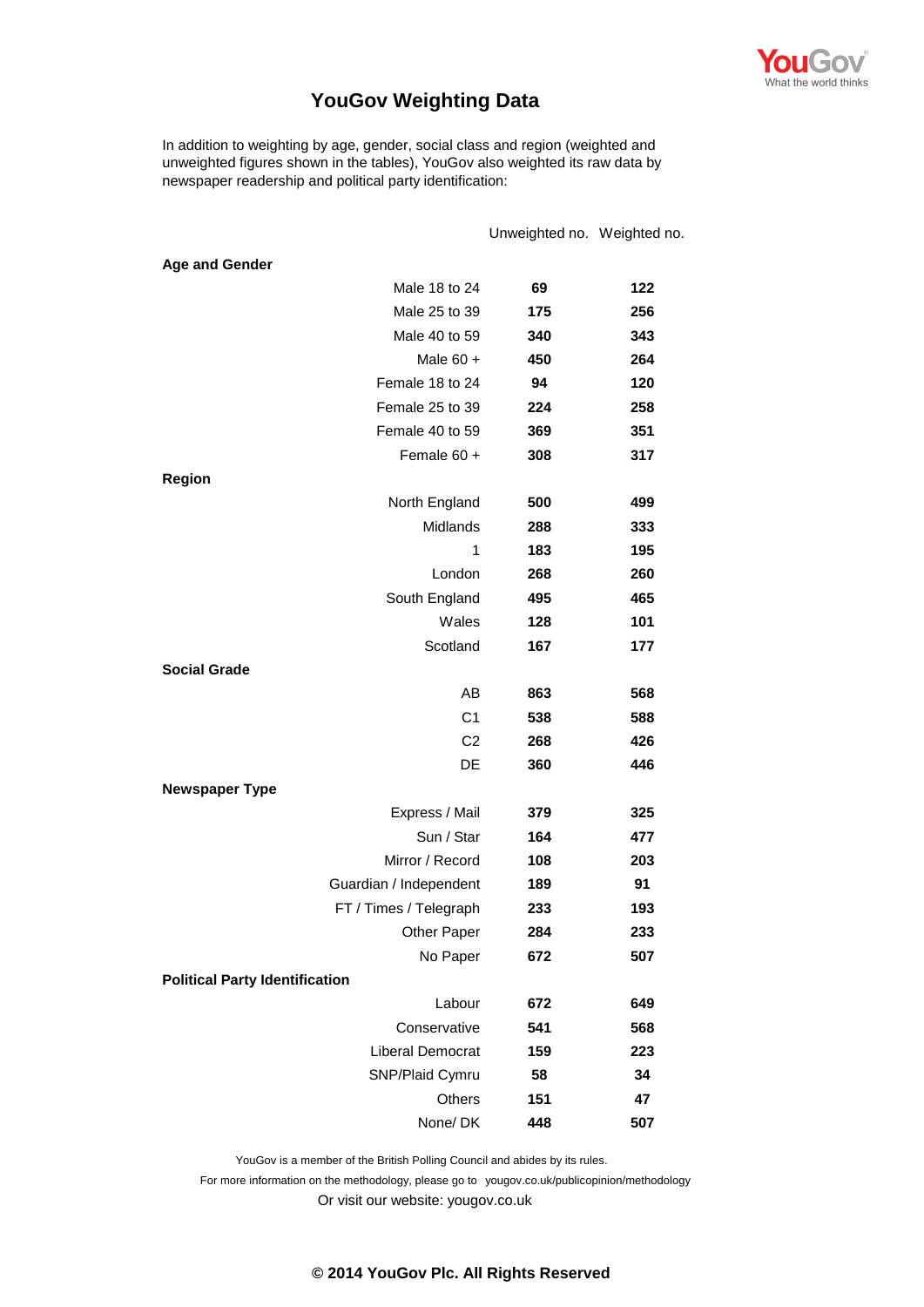|                                                                                                                                                                                                                                                                                                                                                                                                                                                                                   |          |          | <b>Voting intention</b> |            |          |                | 2010 Vote |            |          | Gender         |          | Age         |          |          |                 | <b>Social Grade</b> |          |                  | Region            |              |                |
|-----------------------------------------------------------------------------------------------------------------------------------------------------------------------------------------------------------------------------------------------------------------------------------------------------------------------------------------------------------------------------------------------------------------------------------------------------------------------------------|----------|----------|-------------------------|------------|----------|----------------|-----------|------------|----------|----------------|----------|-------------|----------|----------|-----------------|---------------------|----------|------------------|-------------------|--------------|----------------|
|                                                                                                                                                                                                                                                                                                                                                                                                                                                                                   | Total    | Con      | l Lab                   | Lib<br>Dem | UKIP     | Con            | Lab       | Lib<br>Dem | Male     | Female         |          | 18-24 25-39 | 40-59    | $60+$    | ABC1            | C2DE                | London   | Rest of<br>South | Midlands<br>Wales | <b>North</b> | Scotland       |
| <b>Weighted Sample</b>                                                                                                                                                                                                                                                                                                                                                                                                                                                            | 2029     | 510 621  |                         | 151        | 215      | 613            | 523       | 407        | 984      | 1045           | 241      | 513         | 694      | 580      | 1157            | 872                 | 260      | 659              | 434               | 499          | 177            |
| <b>Unweighted Sample</b>                                                                                                                                                                                                                                                                                                                                                                                                                                                          | 2029     |          |                         |            |          |                |           | 422        | 03       | 995            | 163      | 399         | 709      |          | 40 <sup>°</sup> | 628                 | 268      | 678              | 416               | 500          | 167            |
|                                                                                                                                                                                                                                                                                                                                                                                                                                                                                   | %        | %        | %                       | %          | %        | %              | %         | %          | %        | %              | %        | %           | %        | %        | %               | %                   | %        | %                | %                 | %            | %              |
| The governments advisory group on sugar in food is<br>chaired by Professor Ian Macdonald, a leading<br>nutritionist from Nottingham University. Professor<br>Macdonald is also a paid advisor for Coca-Cola and for<br>Mars.                                                                                                                                                                                                                                                      |          |          |                         |            |          |                |           |            |          |                |          |             |          |          |                 |                     |          |                  |                   |              |                |
| Do you think it is or is not acceptable for Professor<br>Macdonald to advise Coca-Cola and Mars at the same<br>time as advising the government?                                                                                                                                                                                                                                                                                                                                   |          |          |                         |            |          |                |           |            |          |                |          |             |          |          |                 |                     |          |                  |                   |              |                |
| Is acceptable                                                                                                                                                                                                                                                                                                                                                                                                                                                                     | 23       | 28       | 24                      | 28         | 15       | 27             | 23        | 21         | 23       | 24             | 27       | 26          | 21       | 21       | 23              | 23                  | 22       | 25               | 19                | 24           | 28             |
| Is not acceptable                                                                                                                                                                                                                                                                                                                                                                                                                                                                 | 60       | 60       | 61                      | 60         | 73       | 62             | 62        | 64         | 59       | 61             | 43       | 51          | 66       | 69       | 62              | 58                  | 61       | 59               | 61                | 59           | 64             |
| Don't know                                                                                                                                                                                                                                                                                                                                                                                                                                                                        | 17       | 13       | 15                      | 12         | 11       | 11             | 16        | 15         | 18       | 15             | 30       | 23          | 13       | 10       | 15              | 18                  | 17       | 16               | 20                | 18           | $\overline{7}$ |
| The following questions are about organ donation.<br>Currently England has an opt-in system, meaning that<br>people's organs can only be used for transplants after<br>their death if the person has consented (which they do<br>through the NHS organ donation register). Wales is<br>switching to an opt-out system, meaning that<br>everyone's organs can be used for transplants after<br>their death unless the person has indicated that they do<br>NOT want to be a donor. |          |          |                         |            |          |                |           |            |          |                |          |             |          |          |                 |                     |          |                  |                   |              |                |
| Which system would you prefer to see<br>An opt-in system (where people have to give consent to<br>donate their organs after their death)                                                                                                                                                                                                                                                                                                                                          | 37       | 42       | 36                      | 34         | 41       | 43             | 36        | 30         | 37       | 37             | 28       | 36          | 37       | 42       | 37              | 37                  | 38       | 38               | 38                | 38           | 31             |
| An opt-out system (where people have to indicate if they do                                                                                                                                                                                                                                                                                                                                                                                                                       |          |          |                         |            |          |                |           |            |          |                |          |             |          |          |                 |                     |          |                  |                   |              |                |
| NOT consent to donating their organs after their death)                                                                                                                                                                                                                                                                                                                                                                                                                           | 54       | 53       | 55                      | 56         | 52       | 52             | 56        | 62         | 51       | 56             | 51       | 51          | 58       | 52       | 55              | 52                  | 50       | 55               | 51                | 53           | 61             |
| Don't know                                                                                                                                                                                                                                                                                                                                                                                                                                                                        | 9        | 5        | 9                       | 10         | 6        | $\overline{4}$ | 8         | 9          | 11       | $\overline{7}$ | 21       | 12          | 5        | 6        | 8               | 10                  | 12       | $\overline{7}$   | 11                | 9            | 8              |
| Would you support or oppose allowing payments to<br>people who donate organs for transplant?                                                                                                                                                                                                                                                                                                                                                                                      |          |          |                         |            |          |                |           |            |          |                |          |             |          |          |                 |                     |          |                  |                   |              |                |
| Support<br>Oppose                                                                                                                                                                                                                                                                                                                                                                                                                                                                 | 27<br>56 | 22<br>64 | 33<br>54                | 16<br>65   | 34<br>53 | 26<br>61       | 28<br>59  | 19<br>62   | 34<br>50 | 21<br>62       | 40<br>32 | 36<br>42    | 26<br>62 | 16<br>71 | 27<br>58        | 28<br>54            | 27<br>50 | 25<br>58         | 30<br>53          | 26<br>60     | 29<br>58       |
| Don't know                                                                                                                                                                                                                                                                                                                                                                                                                                                                        | 17       | 14       | 13                      | 19         | $13$ 13  |                | 13        | 19         | 17       | 17             | 27       | 22          | 12       | 13       | 16              | 18                  | 23       | 17               | 17                | 14           | 13             |
| And would you support or oppose allowing payments<br>to the families of people who donate organs for<br>transplant after their death?<br>Support                                                                                                                                                                                                                                                                                                                                  | 28       | 21       | 35                      | 20         | 32       | 26             | 30        | 19         | 34       | 21             | 36       | 35          | 29       | 16       | 26              | 29                  | 24       | 28               | 31                | 27           | 25             |
| Oppose                                                                                                                                                                                                                                                                                                                                                                                                                                                                            | 56       | 66       | 51                      | 61         | 55       | 61             | 58        | 63         | 50       | 62             | 41       | 43          | 59       | 71       | 59              | 53                  | 53       | 56               | 52                | 61           | 62             |
| Don't know                                                                                                                                                                                                                                                                                                                                                                                                                                                                        | 16       | 13       | 13                      | 18         | 13       | 12             | 13        | 18         | 16       | 16             | 23       | 22          | 12       | 13       | 14              | 18                  | 24       | 16               | 17                | 13           | 13             |